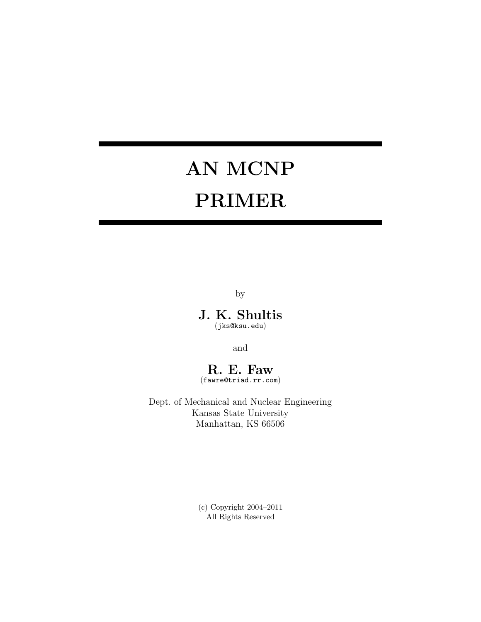# **AN MCNP PRIMER**

by

**J. K. Shultis** (jks@ksu.edu)

and

# **R. E. Faw**

(fawre@triad.rr.com)

Dept. of Mechanical and Nuclear Engineering Kansas State University Manhattan, KS 66506

> (c) Copyright 2004–2011 All Rights Reserved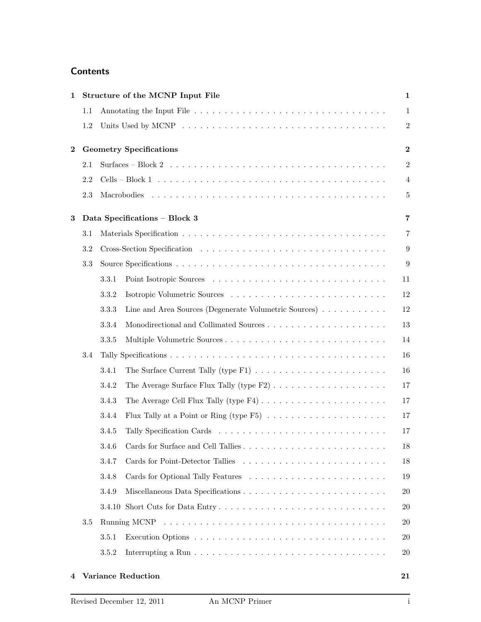# **Contents**

| 1            |         | Structure of the MCNP Input File                                                                                           | $\mathbf{1}$     |
|--------------|---------|----------------------------------------------------------------------------------------------------------------------------|------------------|
|              | 1.1     |                                                                                                                            | $\mathbf{1}$     |
|              | 1.2     |                                                                                                                            | $\overline{2}$   |
| $\mathbf{2}$ |         | <b>Geometry Specifications</b>                                                                                             | $\boldsymbol{2}$ |
|              | 2.1     | Surfaces – Block 2 $\dots \dots \dots \dots \dots \dots \dots \dots \dots \dots \dots \dots \dots \dots \dots \dots \dots$ | $\overline{2}$   |
|              | 2.2     |                                                                                                                            | $\overline{4}$   |
|              | 2.3     |                                                                                                                            | 5                |
| 3            |         | Data Specifications - Block 3                                                                                              | $\overline{7}$   |
|              | 3.1     |                                                                                                                            | 7                |
|              | $3.2\,$ |                                                                                                                            | $\boldsymbol{9}$ |
|              | 3.3     |                                                                                                                            | 9                |
|              |         | 3.3.1                                                                                                                      | 11               |
|              |         | 3.3.2                                                                                                                      | 12               |
|              |         | Line and Area Sources (Degenerate Volumetric Sources)<br>3.3.3                                                             | 12               |
|              |         | 3.3.4                                                                                                                      | 13               |
|              |         | 3.3.5                                                                                                                      | 14               |
|              | 3.4     |                                                                                                                            | 16               |
|              |         | 3.4.1                                                                                                                      | 16               |
|              |         | 3.4.2                                                                                                                      | 17               |
|              |         | 3.4.3                                                                                                                      | 17               |
|              |         | Flux Tally at a Point or Ring (type $F5$ ) $\ldots$<br>3.4.4                                                               | 17               |
|              |         | 3.4.5                                                                                                                      | 17               |
|              |         | 3.4.6                                                                                                                      | 18               |
|              |         | 3.4.7                                                                                                                      | 18               |
|              |         | 3.4.8                                                                                                                      | 19               |
|              |         | 3.4.9                                                                                                                      | $20\,$           |
|              |         |                                                                                                                            | <b>20</b>        |
|              | 3.5     |                                                                                                                            | <b>20</b>        |
|              |         | 3.5.1                                                                                                                      | <b>20</b>        |
|              |         | 3.5.2                                                                                                                      | $20\,$           |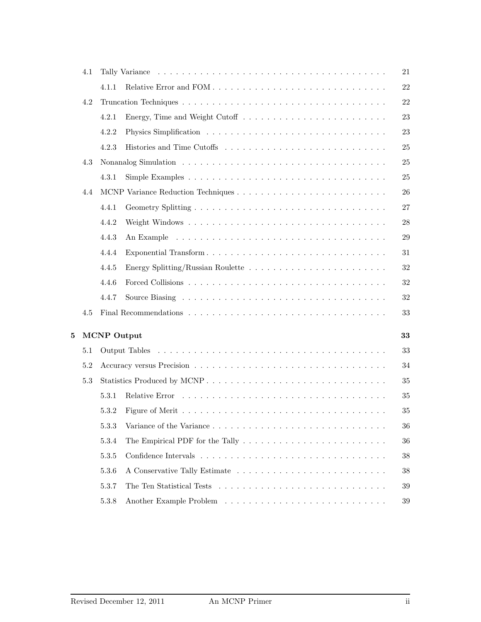|   | 4.1 |                    |                                                                                               | 21     |
|---|-----|--------------------|-----------------------------------------------------------------------------------------------|--------|
|   |     | 4.1.1              |                                                                                               | $22\,$ |
|   | 4.2 |                    |                                                                                               | $22\,$ |
|   |     | 4.2.1              | Energy, Time and Weight Cutoff $\dots \dots \dots \dots \dots \dots \dots \dots$              | 23     |
|   |     | 4.2.2              |                                                                                               | 23     |
|   |     | 4.2.3              |                                                                                               | 25     |
|   | 4.3 |                    |                                                                                               | $25\,$ |
|   |     | 4.3.1              |                                                                                               | 25     |
|   | 4.4 |                    |                                                                                               | 26     |
|   |     | 4.4.1              |                                                                                               | 27     |
|   |     | 4.4.2              |                                                                                               | 28     |
|   |     | 4.4.3              |                                                                                               | $\,29$ |
|   |     | 4.4.4              | Exponential Transform                                                                         | 31     |
|   |     | 4.4.5              |                                                                                               | $32\,$ |
|   |     | 4.4.6              |                                                                                               | $32\,$ |
|   |     | 4.4.7              |                                                                                               | $32\,$ |
|   | 4.5 |                    |                                                                                               | 33     |
| 5 |     | <b>MCNP</b> Output |                                                                                               | 33     |
|   | 5.1 |                    |                                                                                               | 33     |
|   | 5.2 |                    |                                                                                               | 34     |
|   | 5.3 |                    |                                                                                               | 35     |
|   |     | 5.3.1              |                                                                                               | 35     |
|   |     | 5.3.2              |                                                                                               | 35     |
|   |     |                    |                                                                                               |        |
|   |     | 5.3.3              |                                                                                               | 36     |
|   |     | 5.3.4              | The Empirical PDF for the Tally $\dots \dots \dots \dots \dots \dots \dots \dots \dots \dots$ | 36     |
|   |     | 5.3.5              |                                                                                               | $38\,$ |
|   |     | 5.3.6              |                                                                                               | $38\,$ |
|   |     | 5.3.7              |                                                                                               | $39\,$ |
|   |     | 5.3.8              |                                                                                               | $39\,$ |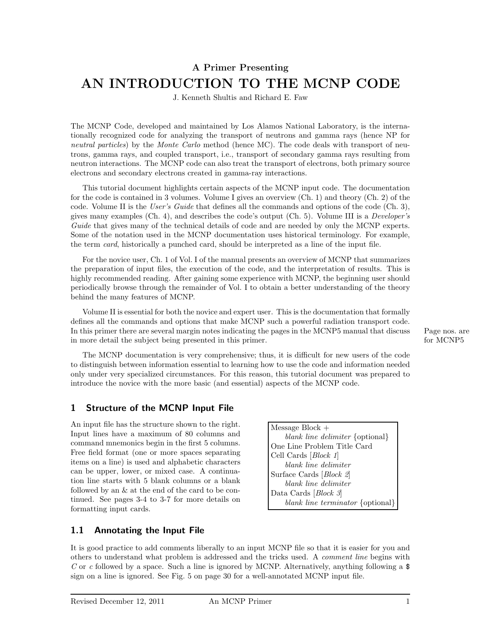# **A Primer Presenting AN INTRODUCTION TO THE MCNP CODE**

J. Kenneth Shultis and Richard E. Faw

The MCNP Code, developed and maintained by Los Alamos National Laboratory, is the internationally recognized code for analyzing the transport of neutrons and gamma rays (hence NP for neutral particles) by the Monte Carlo method (hence MC). The code deals with transport of neutrons, gamma rays, and coupled transport, i.e., transport of secondary gamma rays resulting from neutron interactions. The MCNP code can also treat the transport of electrons, both primary source electrons and secondary electrons created in gamma-ray interactions.

This tutorial document highlights certain aspects of the MCNP input code. The documentation for the code is contained in 3 volumes. Volume I gives an overview (Ch. 1) and theory (Ch. 2) of the code. Volume II is the User's Guide that defines all the commands and options of the code  $(Ch. 3)$ , gives many examples (Ch. 4), and describes the code's output (Ch. 5). Volume III is a *Developer's* Guide that gives many of the technical details of code and are needed by only the MCNP experts. Some of the notation used in the MCNP documentation uses historical terminology. For example, the term *card*, historically a punched card, should be interpreted as a line of the input file.

For the novice user, Ch. 1 of Vol. I of the manual presents an overview of MCNP that summarizes the preparation of input files, the execution of the code, and the interpretation of results. This is highly recommended reading. After gaining some experience with MCNP, the beginning user should periodically browse through the remainder of Vol. I to obtain a better understanding of the theory behind the many features of MCNP.

Volume II is essential for both the novice and expert user. This is the documentation that formally defines all the commands and options that make MCNP such a powerful radiation transport code. In this primer there are several margin notes indicating the pages in the MCNP5 manual that discuss Page nos. are in more detail the subject being presented in this primer. for MCNP5

The MCNP documentation is very comprehensive; thus, it is difficult for new users of the code to distinguish between information essential to learning how to use the code and information needed only under very specialized circumstances. For this reason, this tutorial document was prepared to introduce the novice with the more basic (and essential) aspects of the MCNP code.

# **1 Structure of the MCNP Input File**

An input file has the structure shown to the right. Input lines have a maximum of 80 columns and command mnemonics begin in the first 5 columns. Free field format (one or more spaces separating items on a line) is used and alphabetic characters can be upper, lower, or mixed case. A continuation line starts with 5 blank columns or a blank followed by an & at the end of the card to be continued. See pages 3-4 to 3-7 for more details on formatting input cards.

Message Block + blank line delimiter {optional} One Line Problem Title Card Cell Cards [Block 1] blank line delimiter Surface Cards [Block 2] blank line delimiter Data Cards [*Block 3*] blank line terminator {optional}

# **1.1 Annotating the Input File**

It is good practice to add comments liberally to an input MCNP file so that it is easier for you and others to understand what problem is addressed and the tricks used. A comment line begins with C or c followed by a space. Such a line is ignored by MCNP. Alternatively, anything following a  $\$ sign on a line is ignored. See Fig. 5 on page 30 for a well-annotated MCNP input file.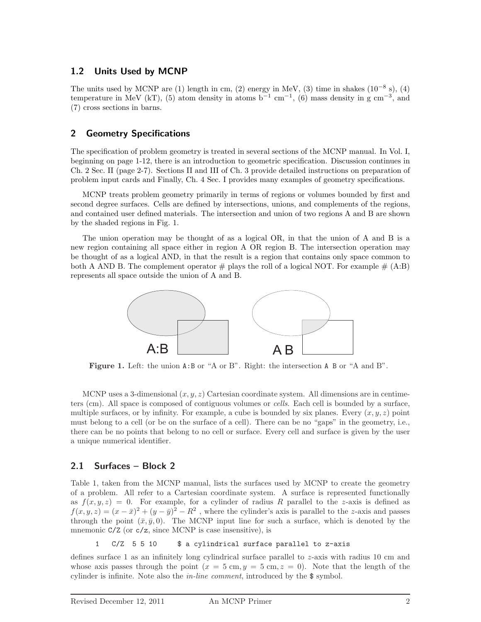# **1.2 Units Used by MCNP**

The units used by MCNP are (1) length in cm, (2) energy in MeV, (3) time in shakes  $(10^{-8} s)$ , (4) temperature in MeV (kT), (5) atom density in atoms  $b^{-1}$  cm<sup>-1</sup>, (6) mass density in g cm<sup>-3</sup>, and (7) cross sections in barns.

# **2 Geometry Specifications**

The specification of problem geometry is treated in several sections of the MCNP manual. In Vol. I, beginning on page 1-12, there is an introduction to geometric specification. Discussion continues in Ch. 2 Sec. II (page 2-7). Sections II and III of Ch. 3 provide detailed instructions on preparation of problem input cards and Finally, Ch. 4 Sec. I provides many examples of geometry specifications.

MCNP treats problem geometry primarily in terms of regions or volumes bounded by first and second degree surfaces. Cells are defined by intersections, unions, and complements of the regions, and contained user defined materials. The intersection and union of two regions A and B are shown by the shaded regions in Fig. 1.

The union operation may be thought of as a logical OR, in that the union of A and B is a new region containing all space either in region A OR region B. The intersection operation may be thought of as a logical AND, in that the result is a region that contains only space common to both A AND B. The complement operator  $\#$  plays the roll of a logical NOT. For example  $\#$  (A:B) represents all space outside the union of A and B.



**Figure 1.** Left: the union A:B or "A or B". Right: the intersection A B or "A and B".

MCNP uses a 3-dimensional  $(x, y, z)$  Cartesian coordinate system. All dimensions are in centimeters (cm). All space is composed of contiguous volumes or cells. Each cell is bounded by a surface, multiple surfaces, or by infinity. For example, a cube is bounded by six planes. Every  $(x, y, z)$  point must belong to a cell (or be on the surface of a cell). There can be no "gaps" in the geometry, i.e., there can be no points that belong to no cell or surface. Every cell and surface is given by the user a unique numerical identifier.

# **2.1 Surfaces – Block 2**

Table 1, taken from the MCNP manual, lists the surfaces used by MCNP to create the geometry of a problem. All refer to a Cartesian coordinate system. A surface is represented functionally as  $f(x, y, z) = 0$ . For example, for a cylinder of radius R parallel to the *z*-axis is defined as  $f(x, y, z) = (x - \bar{x})^2 + (y - \bar{y})^2 - R^2$ , where the cylinder's axis is parallel to the *z*-axis and passes through the point  $(\bar{x}, \bar{y}, 0)$ . The MCNP input line for such a surface, which is denoted by the mnemonic  $C/Z$  (or  $c/z$ , since MCNP is case insensitive), is

1 C/Z 5 5 10 \$ a cylindrical surface parallel to z-axis

defines surface 1 as an infinitely long cylindrical surface parallel to *z*-axis with radius 10 cm and whose axis passes through the point  $(x = 5 \text{ cm}, y = 5 \text{ cm}, z = 0)$ . Note that the length of the cylinder is infinite. Note also the in-line comment, introduced by the \$ symbol.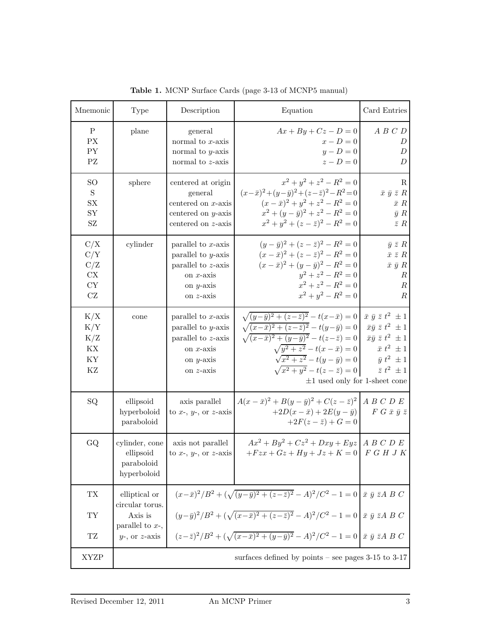| Mnemonic                                                     | Type                                                     | Description                                                                                                             | Equation                                                                                                                                                                                                                                                                                                                                                                                                                               | Card Entries                                                                                                          |
|--------------------------------------------------------------|----------------------------------------------------------|-------------------------------------------------------------------------------------------------------------------------|----------------------------------------------------------------------------------------------------------------------------------------------------------------------------------------------------------------------------------------------------------------------------------------------------------------------------------------------------------------------------------------------------------------------------------------|-----------------------------------------------------------------------------------------------------------------------|
| $\rm P$<br>PX<br>PY<br>$\mathbf{P}\mathbf{Z}$                | plane                                                    | general<br>normal to $x$ -axis<br>normal to $y$ -axis<br>normal to $z$ -axis                                            | $Ax + By + Cz - D = 0$<br>$x-D=0$<br>$y-D=0$<br>$z-D=0$                                                                                                                                                                                                                                                                                                                                                                                | A B C D<br>D<br>$\boldsymbol{D}$<br>$\overline{D}$                                                                    |
| <sub>SO</sub><br>$\mathbf S$<br>SX<br>SY<br>SZ               | sphere                                                   | centered at origin<br>general<br>centered on $x$ -axis<br>centered on $y$ -axis<br>centered on z-axis                   | $x^2 + y^2 + z^2 - R^2 = 0$<br>$(x-\bar{x})^2 + (y-\bar{y})^2 + (z-\bar{z})^2 - R^2 = 0$<br>$(x - \bar{x})^2 + y^2 + z^2 - R^2 = 0$<br>$x^2 + (y - \bar{y})^2 + z^2 - R^2 = 0$<br>$x^2 + y^2 + (z - \overline{z})^2 - R^2 = 0$                                                                                                                                                                                                         | $\mathbf R$<br>$\bar{x} \bar{y} \bar{z} R$<br>$\bar{x}$ $R$<br>$\bar{y} R$<br>$\bar{z}$ R                             |
| C/X<br>C/Y<br>C/Z<br>CX<br>${\rm CY}$<br>$\operatorname{CZ}$ | cylinder                                                 | parallel to $x$ -axis<br>parallel to $y$ -axis<br>parallel to $z$ -axis<br>on $x$ -axis<br>on $y$ -axis<br>on $z$ -axis | $(y - \bar{y})^2 + (z - \bar{z})^2 - R^2 = 0$<br>$(x - \bar{x})^2 + (z - \bar{z})^2 - R^2 = 0$<br>$(x - \bar{x})^2 + (y - \bar{y})^2 - R^2 = 0$<br>$y^2 + z^2 - R^2 = 0$<br>$x^2 + z^2 - R^2 = 0$<br>$x^2 + y^2 - R^2 = 0$                                                                                                                                                                                                             | $\bar{y} \bar{z} R$<br>$\bar{x} \bar{z} R$<br>$\bar{x} \bar{y} R$<br>$\boldsymbol{R}$<br>$\cal R$<br>$\boldsymbol{R}$ |
| K/X<br>K/Y<br>K/Z<br>KX<br>ΚY<br>KZ                          | cone                                                     | parallel to $x$ -axis<br>parallel to $y$ -axis<br>parallel to z-axis<br>on $x$ -axis<br>on $y$ -axis<br>on $z$ -axis    | $\sqrt{(y-\bar{y})^2+(z-\bar{z})^2}-t(x-\bar{x})=0$ $\bar{x} \bar{y} \bar{z} t^2 \pm 1$<br>$\sqrt{(x-\bar{x})^2 + (z-\bar{z})^2} - t(y-\bar{y}) = 0$ $\bar{x}\bar{y} \bar{z} t^2 \pm 1$<br>$\sqrt{(x-\bar{x})^2 + (y-\bar{y})^2} - t(z-\bar{z}) = 0$ $\bar{x}\bar{y} \bar{z} t^2 \pm 1$<br>$\sqrt{y^2+z^2}-t(x-\bar{x})=0$<br>$\sqrt{x^2+z^2}-t(y-\bar{y})=0$<br>$\sqrt{x^2+y^2}-t(z-\bar{z})=0$<br>$\pm 1$ used only for 1-sheet cone | $\bar{x} t^2 \pm 1$<br>$\bar{y} t^2 \pm 1$<br>$\bar{z} t^2 \pm 1$                                                     |
| SQ                                                           | ellipsoid<br>hyperboloid<br>paraboloid                   | axis parallel<br>to $x$ -, $y$ -, or $z$ -axis                                                                          | $A(x-\bar{x})^2 + B(y-\bar{y})^2 + C(z-\bar{z})^2$ <i>A B C D E</i><br>$+2D(x-\bar{x})+2E(y-\bar{y})$<br>$+2F(z - \bar{z}) + G = 0$                                                                                                                                                                                                                                                                                                    | $F G \bar{x} \bar{y} \bar{z}$                                                                                         |
| GQ                                                           | cylinder, cone<br>ellipsoid<br>paraboloid<br>hyperboloid | axis not parallel<br>to x-, $y$ -, or z-axis                                                                            | $Ax^2 + By^2 + Cz^2 + Dxy + Eyz \mid A B C D E$<br>$+Fzx+Gz+Hy+Jz+K=0$ F G H J K                                                                                                                                                                                                                                                                                                                                                       |                                                                                                                       |
| TX                                                           | elliptical or                                            |                                                                                                                         | $(x-\bar{x})^2/B^2 + (\sqrt{(y-\bar{y})^2 + (z-\bar{z})^2} - A)^2/C^2 - 1 = 0 \vec{x} \ \bar{y} \ \bar{z}AB C$                                                                                                                                                                                                                                                                                                                         |                                                                                                                       |
| $\mathcal{T}\mathcal{Y}$                                     | circular torus.<br>Axis is                               |                                                                                                                         | $(y-\bar{y})^2/B^2 + (\sqrt{(x-\bar{x})^2 + (z-\bar{z})^2} - A)^2/C^2 - 1 = 0 \bar{x} \bar{y} \bar{z}ABC$                                                                                                                                                                                                                                                                                                                              |                                                                                                                       |
| $\operatorname{TZ}$                                          | parallel to $x$ -,<br>$y$ -, or $z$ -axis                |                                                                                                                         | $(z-\bar{z})^2/B^2 + (\sqrt{(x-\bar{x})^2+(y-\bar{y})^2}-A)^2/C^2-1=0$ $\bar{x} \bar{y} \bar{z}ABC$                                                                                                                                                                                                                                                                                                                                    |                                                                                                                       |
| <b>XYZP</b>                                                  |                                                          |                                                                                                                         | surfaces defined by points – see pages $3-15$ to $3-17$                                                                                                                                                                                                                                                                                                                                                                                |                                                                                                                       |

**Table 1.** MCNP Surface Cards (page 3-13 of MCNP5 manual)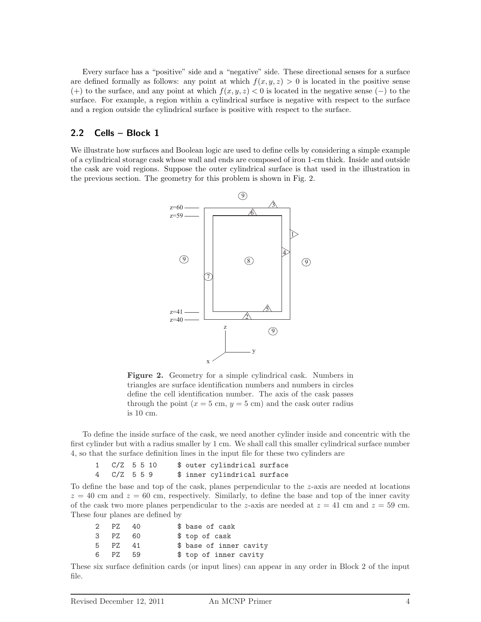Every surface has a "positive" side and a "negative" side. These directional senses for a surface are defined formally as follows: any point at which  $f(x, y, z) > 0$  is located in the positive sense (+) to the surface, and any point at which  $f(x, y, z) < 0$  is located in the negative sense (-) to the surface. For example, a region within a cylindrical surface is negative with respect to the surface and a region outside the cylindrical surface is positive with respect to the surface.

# **2.2 Cells – Block 1**

We illustrate how surfaces and Boolean logic are used to define cells by considering a simple example of a cylindrical storage cask whose wall and ends are composed of iron 1-cm thick. Inside and outside the cask are void regions. Suppose the outer cylindrical surface is that used in the illustration in the previous section. The geometry for this problem is shown in Fig. 2.



**Figure 2.** Geometry for a simple cylindrical cask. Numbers in triangles are surface identification numbers and numbers in circles define the cell identification number. The axis of the cask passes through the point  $(x = 5 \text{ cm}, y = 5 \text{ cm})$  and the cask outer radius is 10 cm.

To define the inside surface of the cask, we need another cylinder inside and concentric with the first cylinder but with a radius smaller by 1 cm. We shall call this smaller cylindrical surface number 4, so that the surface definition lines in the input file for these two cylinders are

| $1 \quad C/Z \quad 5 \quad 5 \quad 10$ |  |  | \$ outer cylindrical surface |  |
|----------------------------------------|--|--|------------------------------|--|
| 4 C/Z 559                              |  |  | \$ inner cylindrical surface |  |

To define the base and top of the cask, planes perpendicular to the *z*-axis are needed at locations  $z = 40$  cm and  $z = 60$  cm, respectively. Similarly, to define the base and top of the inner cavity of the cask two more planes perpendicular to the *z*-axis are needed at  $z = 41$  cm and  $z = 59$  cm. These four planes are defined by

| 2 PZ | - 40 | \$ base of cask         |
|------|------|-------------------------|
| 3 PZ | - 60 | \$ top of cask          |
| 5 PZ | 41   | \$ base of inner cavity |
| 6 PZ | - 59 | \$ top of inner cavity  |

These six surface definition cards (or input lines) can appear in any order in Block 2 of the input file.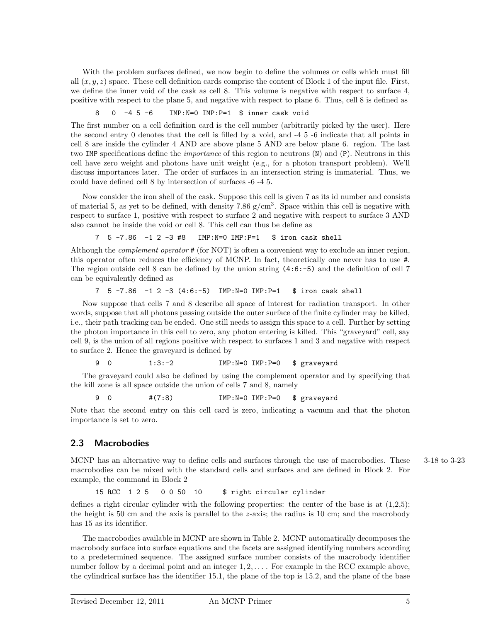With the problem surfaces defined, we now begin to define the volumes or cells which must fill all  $(x, y, z)$  space. These cell definition cards comprise the content of Block 1 of the input file. First, we define the inner void of the cask as cell 8. This volume is negative with respect to surface 4, positive with respect to the plane 5, and negative with respect to plane 6. Thus, cell 8 is defined as

8 0 -4 5 -6 IMP:N=0 IMP:P=1 \$ inner cask void

The first number on a cell definition card is the cell number (arbitrarily picked by the user). Here the second entry 0 denotes that the cell is filled by a void, and -4 5 -6 indicate that all points in cell 8 are inside the cylinder 4 AND are above plane 5 AND are below plane 6. region. The last two IMP specifications define the *importance* of this region to neutrons (N) and (P). Neutrons in this cell have zero weight and photons have unit weight (e.g., for a photon transport problem). We'll discuss importances later. The order of surfaces in an intersection string is immaterial. Thus, we could have defined cell 8 by intersection of surfaces -6 -4 5.

Now consider the iron shell of the cask. Suppose this cell is given 7 as its id number and consists of material 5, as yet to be defined, with density 7.86  $g/cm<sup>3</sup>$ . Space within this cell is negative with respect to surface 1, positive with respect to surface 2 and negative with respect to surface 3 AND also cannot be inside the void or cell 8. This cell can thus be define as

7 5 -7.86 -1 2 -3 #8 IMP:N=0 IMP:P=1 \$ iron cask shell

Although the *complement operator* # (for NOT) is often a convenient way to exclude an inner region, this operator often reduces the efficiency of MCNP. In fact, theoretically one never has to use #. The region outside cell 8 can be defined by the union string  $(4:6:-5)$  and the definition of cell 7 can be equivalently defined as

7 5 -7.86 -1 2 -3 (4:6:-5) IMP:N=0 IMP:P=1 \$ iron cask shell

Now suppose that cells 7 and 8 describe all space of interest for radiation transport. In other words, suppose that all photons passing outside the outer surface of the finite cylinder may be killed, i.e., their path tracking can be ended. One still needs to assign this space to a cell. Further by setting the photon importance in this cell to zero, any photon entering is killed. This "graveyard" cell, say cell 9, is the union of all regions positive with respect to surfaces 1 and 3 and negative with respect to surface 2. Hence the graveyard is defined by

9 0 1:3:-2 IMP:N=0 IMP:P=0 \$ graveyard

The graveyard could also be defined by using the complement operator and by specifying that the kill zone is all space outside the union of cells 7 and 8, namely

9 0 #(7:8) IMP:N=0 IMP:P=0 \$ graveyard

Note that the second entry on this cell card is zero, indicating a vacuum and that the photon importance is set to zero.

# **2.3 Macrobodies**

MCNP has an alternative way to define cells and surfaces through the use of macrobodies. These 3-18 to 3-23 macrobodies can be mixed with the standard cells and surfaces and are defined in Block 2. For example, the command in Block 2

15 RCC 1 2 5 0 0 50 10 \$ right circular cylinder

defines a right circular cylinder with the following properties: the center of the base is at  $(1,2,5)$ ; the height is 50 cm and the axis is parallel to the *z*-axis; the radius is 10 cm; and the macrobody has 15 as its identifier.

The macrobodies available in MCNP are shown in Table 2. MCNP automatically decomposes the macrobody surface into surface equations and the facets are assigned identifying numbers according to a predetermined sequence. The assigned surface number consists of the macrobody identifier number follow by a decimal point and an integer  $1, 2, \ldots$ . For example in the RCC example above, the cylindrical surface has the identifier 15.1, the plane of the top is 15.2, and the plane of the base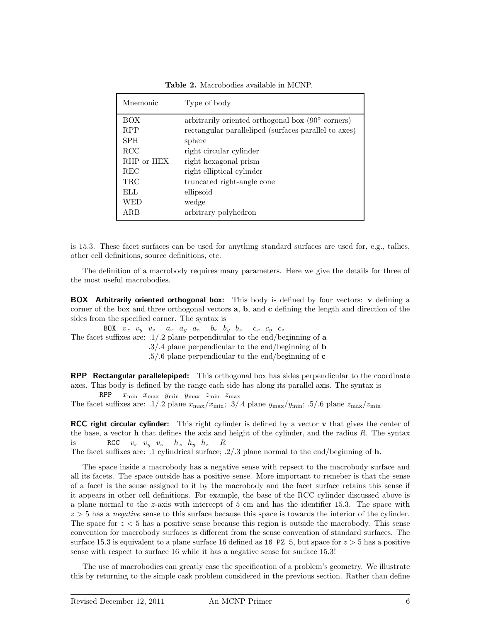| Mnemonic   | Type of body                                               |
|------------|------------------------------------------------------------|
| <b>BOX</b> | arbitrarily oriented orthogonal box $(90^{\circ}$ corners) |
| <b>RPP</b> | rectangular paralleliped (surfaces parallel to axes)       |
| <b>SPH</b> | sphere                                                     |
| <b>RCC</b> | right circular cylinder                                    |
| RHP or HEX | right hexagonal prism                                      |
| <b>REC</b> | right elliptical cylinder                                  |
| TRC        | truncated right-angle cone                                 |
| ELL.       | ellipsoid                                                  |
| WED        | wedge                                                      |
| ARB        | arbitrary polyhedron                                       |

**Table 2.** Macrobodies available in MCNP.

is 15.3. These facet surfaces can be used for anything standard surfaces are used for, e.g., tallies, other cell definitions, source definitions, etc.

The definition of a macrobody requires many parameters. Here we give the details for three of the most useful macrobodies.

**BOX Arbitrarily oriented orthogonal box:** This body is defined by four vectors: **v** defining a corner of the box and three orthogonal vectors **a**, **b**, and **c** defining the length and direction of the sides from the specified corner. The syntax is

BOX  $v_x$   $v_y$   $v_z$   $a_x$   $a_y$   $a_z$   $b_x$   $b_y$   $b_z$   $c_x$   $c_y$   $c_z$ The facet suffixes are: .1/.2 plane perpendicular to the end/beginning of **a** .3/.4 plane perpendicular to the end/beginning of **b** .5/.6 plane perpendicular to the end/beginning of **c**

**RPP Rectangular parallelepiped:** This orthogonal box has sides perpendicular to the coordinate axes. This body is defined by the range each side has along its parallel axis. The syntax is

RPP *x*min *x*max *y*min *y*max *z*min *z*max The facet suffixes are: .1/.2 plane  $x_{\text{max}}/x_{\text{min}}$ ; .3/.4 plane  $y_{\text{max}}/y_{\text{min}}$ ; .5/.6 plane  $z_{\text{max}}/z_{\text{min}}$ .

**RCC right circular cylinder:** This right cylinder is defined by a vector **v** that gives the center of the base, a vector **h** that defines the axis and height of the cylinder, and the radius *R*. The syntax is RCC  $v_x$   $v_y$   $v_z$   $h_x$   $h_y$   $h_z$  R

The facet suffixes are: .1 cylindrical surface; .2/.3 plane normal to the end/beginning of **h**.

The space inside a macrobody has a negative sense with repsect to the macrobody surface and all its facets. The space outside has a positive sense. More important to remeber is that the sense of a facet is the sense assigned to it by the macrobody and the facet surface retains this sense if it appears in other cell definitions. For example, the base of the RCC cylinder discussed above is a plane normal to the *z*-axis with intercept of 5 cm and has the identifier 15.3. The space with  $z > 5$  has a *negative* sense to this surface because this space is towards the interior of the cylinder. The space for *z <* 5 has a positive sense because this region is outside the macrobody. This sense convention for macrobody surfaces is different from the sense convention of standard surfaces. The surface 15.3 is equivalent to a plane surface 16 defined as 16 PZ 5, but space for *z >* 5 has a positive sense with respect to surface 16 while it has a negative sense for surface 15.3!

The use of macrobodies can greatly ease the specification of a problem's geometry. We illustrate this by returning to the simple cask problem considered in the previous section. Rather than define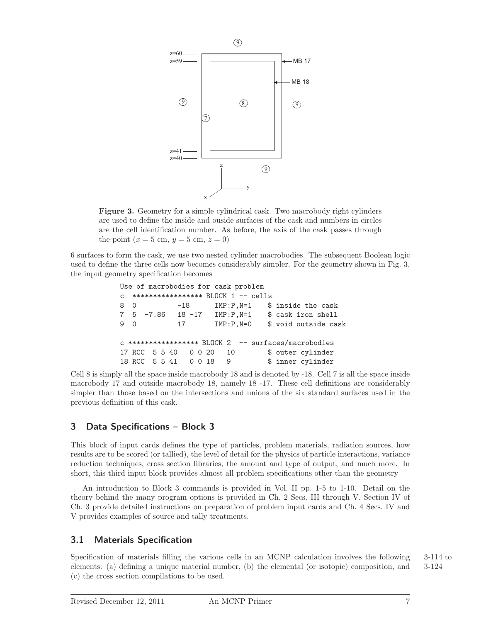

**Figure 3.** Geometry for a simple cylindrical cask. Two macrobody right cylinders are used to define the inside and ouside surfaces of the cask and numbers in circles are the cell identification number. As before, the axis of the cask passes through the point  $(x = 5 \text{ cm}, y = 5 \text{ cm}, z = 0)$ 

6 surfaces to form the cask, we use two nested cylinder macrobodies. The subsequent Boolean logic used to define the three cells now becomes considerably simpler. For the geometry shown in Fig. 3, the input geometry specification becomes

```
Use of macrobodies for cask problem
c ***************** BLOCK 1 -- cells
8 0 -18 IMP:P, N=1 $ inside the cask
7 5 -7.86 18 -17 IMP:P,N=1 $ cask iron shell
9 0 17 IMP:P, N=0 $ void outside cask
c ***************** BLOCK 2 -- surfaces/macrobodies
17 RCC 5 5 40 0 0 20 10 $ outer cylinder
18 RCC 5 5 41 0 0 18 9 $ inner cylinder
```
Cell 8 is simply all the space inside macrobody 18 and is denoted by -18. Cell 7 is all the space inside macrobody 17 and outside macrobody 18, namely 18 -17. These cell definitions are considerably simpler than those based on the intersections and unions of the six standard surfaces used in the previous definition of this cask.

# **3 Data Specifications – Block 3**

This block of input cards defines the type of particles, problem materials, radiation sources, how results are to be scored (or tallied), the level of detail for the physics of particle interactions, variance reduction techniques, cross section libraries, the amount and type of output, and much more. In short, this third input block provides almost all problem specifications other than the geometry

An introduction to Block 3 commands is provided in Vol. II pp. 1-5 to 1-10. Detail on the theory behind the many program options is provided in Ch. 2 Secs. III through V. Section IV of Ch. 3 provide detailed instructions on preparation of problem input cards and Ch. 4 Secs. IV and V provides examples of source and tally treatments.

# **3.1 Materials Specification**

Specification of materials filling the various cells in an MCNP calculation involves the following 3-114 to elements: (a) defining a unique material number, (b) the elemental (or isotopic) composition, and 3-124 (c) the cross section compilations to be used.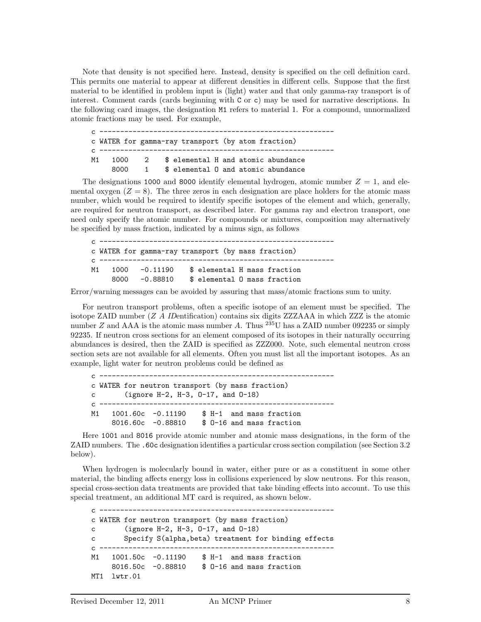Note that density is not specified here. Instead, density is specified on the cell definition card. This permits one material to appear at different densities in different cells. Suppose that the first material to be identified in problem input is (light) water and that only gamma-ray transport is of interest. Comment cards (cards beginning with C or c) may be used for narrative descriptions. In the following card images, the designation M1 refers to material 1. For a compound, unnormalized atomic fractions may be used. For example,

| $\epsilon$   |                                                    |                |  |  |                                     |
|--------------|----------------------------------------------------|----------------|--|--|-------------------------------------|
|              | c WATER for gamma-ray transport (by atom fraction) |                |  |  |                                     |
| $\mathbb{C}$ |                                                    |                |  |  |                                     |
| M1           | 1000                                               | $\overline{2}$ |  |  | \$ elemental H and atomic abundance |
|              | 8000                                               | $\mathbf{1}$   |  |  | \$ elemental 0 and atomic abundance |

The designations 1000 and 8000 identify elemental hydrogen, atomic number  $Z = 1$ , and elemental oxygen  $(Z = 8)$ . The three zeros in each designation are place holders for the atomic mass number, which would be required to identify specific isotopes of the element and which, generally, are required for neutron transport, as described later. For gamma ray and electron transport, one need only specify the atomic number. For compounds or mixtures, composition may alternatively be specified by mass fraction, indicated by a minus sign, as follows

c -------------------------------------------------------- c WATER for gamma-ray transport (by mass fraction) c --------------------------------------------------------- M1 1000 -0.11190 \$ elemental H mass fraction 8000 -0.88810 \$ elemental O mass fraction

Error/warning messages can be avoided by assuring that mass/atomic fractions sum to unity.

For neutron transport problems, often a specific isotope of an element must be specified. The isotope ZAID number (*Z A* IDentification) contains six digits ZZZAAA in which ZZZ is the atomic number *Z* and AAA is the atomic mass number *A*. Thus  $^{235}$ U has a ZAID number 092235 or simply 92235. If neutron cross sections for an element composed of its isotopes in their naturally occurring abundances is desired, then the ZAID is specified as ZZZ000. Note, such elemental neutron cross section sets are not available for all elements. Often you must list all the important isotopes. As an example, light water for neutron problems could be defined as

| $\epsilon$   |              |                      |                                                  |  |
|--------------|--------------|----------------------|--------------------------------------------------|--|
|              |              |                      | c WATER for neutron transport (by mass fraction) |  |
|              | $\mathbf{C}$ |                      | (ignore H-2, H-3, $0-17$ , and $0-18$ )          |  |
| $\mathsf{C}$ |              |                      |                                                  |  |
| M1           |              | $1001.60c - 0.11190$ | \$ H-1 and mass fraction                         |  |
|              |              | $8016.60c - 0.88810$ | \$ 0-16 and mass fraction                        |  |

Here 1001 and 8016 provide atomic number and atomic mass designations, in the form of the ZAID numbers. The .60c designation identifies a particular cross section compilation (see Section 3.2 below).

When hydrogen is molecularly bound in water, either pure or as a constituent in some other material, the binding affects energy loss in collisions experienced by slow neutrons. For this reason, special cross-section data treatments are provided that take binding effects into account. To use this special treatment, an additional MT card is required, as shown below.

```
c ---------------------------------------------------------
c WATER for neutron transport (by mass fraction)
c (ignore H-2, H-3, O-17, and O-18)
c Specify S(alpha,beta) treatment for binding effects
c ---------------------------------------------------------
M1 1001.50c -0.11190 $ H-1 and mass fraction
    8016.50c -0.88810 $ O-16 and mass fraction
MT1 lwtr.01
```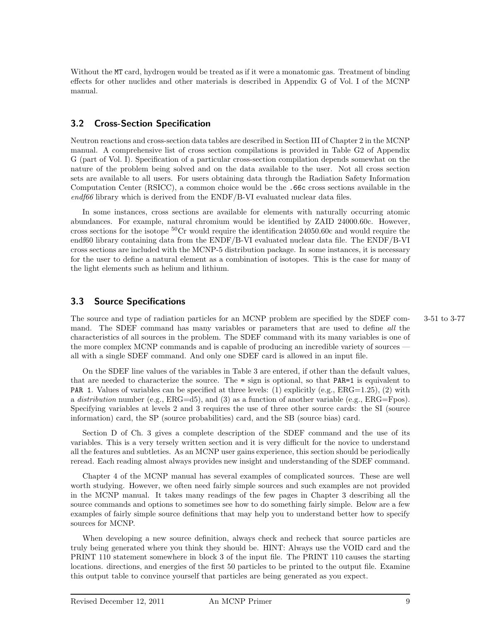Without the MT card, hydrogen would be treated as if it were a monatomic gas. Treatment of binding effects for other nuclides and other materials is described in Appendix G of Vol. I of the MCNP manual.

# **3.2 Cross-Section Specification**

Neutron reactions and cross-section data tables are described in Section III of Chapter 2 in the MCNP manual. A comprehensive list of cross section compilations is provided in Table G2 of Appendix G (part of Vol. I). Specification of a particular cross-section compilation depends somewhat on the nature of the problem being solved and on the data available to the user. Not all cross section sets are available to all users. For users obtaining data through the Radiation Safety Information Computation Center (RSICC), a common choice would be the .66c cross sections available in the  $end66$  library which is derived from the ENDF/B-VI evaluated nuclear data files.

In some instances, cross sections are available for elements with naturally occurring atomic abundances. For example, natural chromium would be identified by ZAID 24000.60c. However, cross sections for the isotope  ${}^{50}$ Cr would require the identification 24050.60c and would require the endf60 library containing data from the ENDF/B-VI evaluated nuclear data file. The ENDF/B-VI cross sections are included with the MCNP-5 distribution package. In some instances, it is necessary for the user to define a natural element as a combination of isotopes. This is the case for many of the light elements such as helium and lithium.

# **3.3 Source Specifications**

The source and type of radiation particles for an MCNP problem are specified by the SDEF com- 3-51 to 3-77 mand. The SDEF command has many variables or parameters that are used to define all the characteristics of all sources in the problem. The SDEF command with its many variables is one of the more complex MCNP commands and is capable of producing an incredible variety of sources all with a single SDEF command. And only one SDEF card is allowed in an input file.

On the SDEF line values of the variables in Table 3 are entered, if other than the default values, that are needed to characterize the source. The = sign is optional, so that PAR=1 is equivalent to **PAR 1.** Values of variables can be specified at three levels: (1) explicitly (e.g.,  $ERG=1.25$ ), (2) with a distribution number (e.g.,  $ERG=45$ ), and (3) as a function of another variable (e.g.,  $ERG=Fpos$ ). Specifying variables at levels 2 and 3 requires the use of three other source cards: the SI (source information) card, the SP (source probabilities) card, and the SB (source bias) card.

Section D of Ch. 3 gives a complete description of the SDEF command and the use of its variables. This is a very tersely written section and it is very difficult for the novice to understand all the features and subtleties. As an MCNP user gains experience, this section should be periodically reread. Each reading almost always provides new insight and understanding of the SDEF command.

Chapter 4 of the MCNP manual has several examples of complicated sources. These are well worth studying. However, we often need fairly simple sources and such examples are not provided in the MCNP manual. It takes many readings of the few pages in Chapter 3 describing all the source commands and options to sometimes see how to do something fairly simple. Below are a few examples of fairly simple source definitions that may help you to understand better how to specify sources for MCNP.

When developing a new source definition, always check and recheck that source particles are truly being generated where you think they should be. HINT: Always use the VOID card and the PRINT 110 statement somewhere in block 3 of the input file. The PRINT 110 causes the starting locations. directions, and energies of the first 50 particles to be printed to the output file. Examine this output table to convince yourself that particles are being generated as you expect.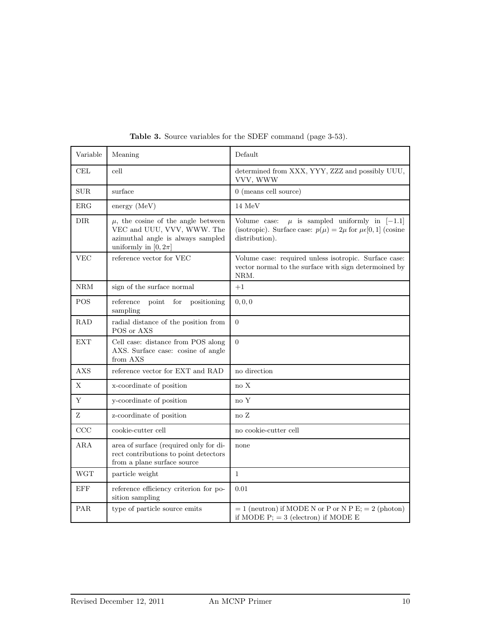| Variable             | Meaning                                                                                                                                | Default                                                                                                                                           |
|----------------------|----------------------------------------------------------------------------------------------------------------------------------------|---------------------------------------------------------------------------------------------------------------------------------------------------|
| $\operatorname{CEL}$ | cell                                                                                                                                   | determined from XXX, YYY, ZZZ and possibly UUU,<br>VVV, WWW                                                                                       |
| $\text{SUB}$         | surface                                                                                                                                | $0$ (means cell source)                                                                                                                           |
| ERG                  | $\text{energy}(\text{MeV})$                                                                                                            | $14~\mathrm{MeV}$                                                                                                                                 |
| <b>DIR</b>           | $\mu$ , the cosine of the angle between<br>VEC and UUU, VVV, WWW. The<br>azimuthal angle is always sampled<br>uniformly in $[0, 2\pi]$ | $\mu$ is sampled uniformly in [-1.1]<br>Volume case:<br>(isotropic). Surface case: $p(\mu) = 2\mu$ for $\mu \in [0, 1]$ (cosine<br>distribution). |
| <b>VEC</b>           | reference vector for VEC                                                                                                               | Volume case: required unless isotropic. Surface case:<br>vector normal to the surface with sign determoined by<br>NRM.                            |
| NRM                  | sign of the surface normal                                                                                                             | $+1$                                                                                                                                              |
| <b>POS</b>           | reference<br>point<br>for<br>positioning<br>sampling                                                                                   | 0, 0, 0                                                                                                                                           |
| <b>RAD</b>           | radial distance of the position from<br>POS or AXS                                                                                     | $\overline{0}$                                                                                                                                    |
| EXT                  | Cell case: distance from POS along<br>AXS. Surface case: cosine of angle<br>from AXS                                                   | $\overline{0}$                                                                                                                                    |
| <b>AXS</b>           | reference vector for $\operatorname{EXT}$ and $\operatorname{RAD}$                                                                     | no direction                                                                                                                                      |
| Х                    | x-coordinate of position                                                                                                               | $\rm no~X$                                                                                                                                        |
| Υ                    | y-coordinate of position                                                                                                               | no Y                                                                                                                                              |
| Ζ                    | z-coordinate of position                                                                                                               | no Z                                                                                                                                              |
| CCC                  | cookie-cutter cell                                                                                                                     | no cookie-cutter cell                                                                                                                             |
| ARA                  | area of surface (required only for di-<br>rect contributions to point detectors<br>from a plane surface source                         | none                                                                                                                                              |
| <b>WGT</b>           | particle weight                                                                                                                        | $\mathbf{1}$                                                                                                                                      |
| EFF                  | reference efficiency criterion for po-<br>sition sampling                                                                              | 0.01                                                                                                                                              |
| PAR.                 | type of particle source emits                                                                                                          | $= 1$ (neutron) if MODE N or P or N P E; $= 2$ (photon)<br>if MODE $P$ ; = 3 (electron) if MODE E                                                 |

Table 3. Source variables for the SDEF command (page 3-53).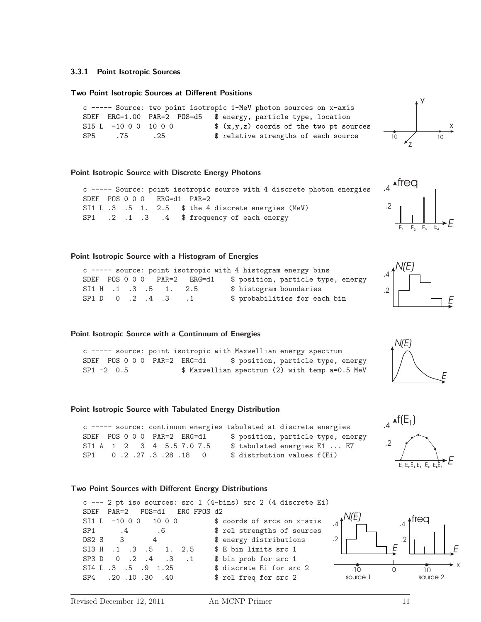# **3.3.1 Point Isotropic Sources**

#### **Two Point Isotropic Sources at Different Positions**

c ----- Source: two point isotropic 1-MeV photon sources on x-axis SDEF ERG=1.00 PAR=2 POS=d5 \$ energy, particle type, location SI5 L -10 0 0 10 0 0  $\text{\$ } (x,y,z)$  coords of the two pt sources SP5 .75 .25 \$ relative strengths of each source

# **Point Isotropic Source with Discrete Energy Photons**

c ----- Source: point isotropic source with 4 discrete photon energies SDEF POS 0 0 0 ERG=d1 PAR=2 SI1 L .3 .5 1. 2.5 \$ the 4 discrete energies (MeV) SP1 .2 .1 .3 .4 \$ frequency of each energy

# **Point Isotropic Source with a Histogram of Energies**

c ----- source: point isotropic with 4 histogram energy bins SDEF POS 0 0 0 PAR=2 ERG=d1 \$ position, particle type, energy SI1 H .1 .3 .5 1. 2.5 \$ histogram boundaries SP1 D 0 .2 .4 .3 .1 \$ probabilities for each bin

#### **Point Isotropic Source with a Continuum of Energies**

c ----- source: point isotropic with Maxwellian energy spectrum SDEF POS 0 0 0 PAR=2 ERG=d1 \$ position, particle type, energy SP1 -2 0.5 **\$** Maxwellian spectrum (2) with temp a=0.5 MeV

#### **Point Isotropic Source with Tabulated Energy Distribution**

c ----- source: continuum energies tabulated at discrete energies SDEF POS 0 0 0 PAR=2 ERG=d1 \$ position, particle type, energy SI1 A 1 2 3 4 5.5 7.0 7.5 \$ tabulated energies E1 ... E7 SP1 0 .2 .27 .3 .28 .18 0 \$ distrbution values  $f(Ei)$ 

#### **Two Point Sources with Different Energy Distributions**

```
c --- 2 pt iso sources: src 1 (4-bins) src 2 (4 discrete Ei)
SDEF PAR=2 POS=d1 ERG FPOS d2
SI1 L -1000 1000 \qquad $ coords of srcs on x-axis
SP1 .4 .6 $ rel strengths of sources
DS2 S 3 4 $ energy distributions
SI3 H .1 .3 .5 1. 2.5 $ E bin limits src 1
SP3 D 0 .2 .4 .3 .1 $ bin prob for src 1
SI4 L .3 .5 .9 1.25 $ discrete Ei for src 2
SP4 .20 .10 .30 .40 $ rel freq for src 2
                                                                 freq
                                                               .2
                                                              .4
                                                    source 1 source 2
                                                             E
                                                   N(E)
                                                 .2
                                                 .4
```








E**<sup>1</sup>** E**<sup>2</sup>** E**<sup>3</sup>** E**<sup>4</sup>**

 $\overline{*}$ freq

*N(E)*

*N(E)*

.2

.2

 $\Delta$ 

.4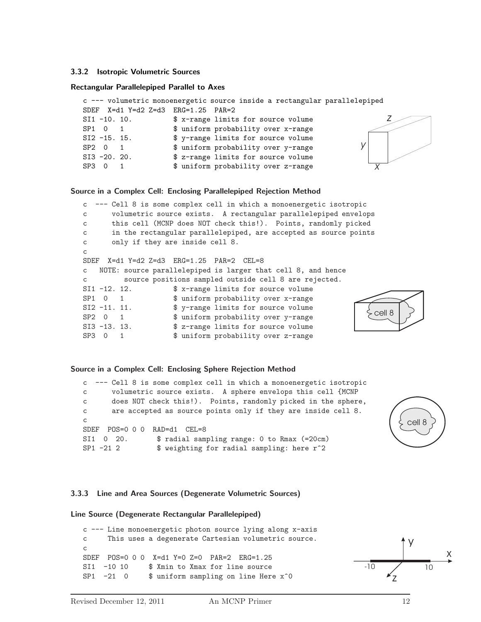# **3.3.2 Isotropic Volumetric Sources**

#### **Rectangular Parallelepiped Parallel to Axes**

```
c --- volumetric monoenergetic source inside a rectangular parallelepiped
SDEF X=d1 Y=d2 Z=d3 ERG=1.25 PAR=2
SI1 -10. 10. $ x-range limits for source volume
SP1 0 1 $ uniform probability over x-range
SI2 -15. 15. $ y-range limits for source volume
SP2 0 1 $ uniform probability over y-range
SI3 -20. 20. $ z-range limits for source volume
SP3 0 1 \frac{1}{x} $ uniform probability over z-range \frac{1}{x}y
                                                                z
```
#### **Source in a Complex Cell: Enclosing Parallelepiped Rejection Method**

```
c --- Cell 8 is some complex cell in which a monoenergetic isotropic
c volumetric source exists. A rectangular parallelepiped envelops
c this cell (MCNP does NOT check this!). Points, randomly picked
c in the rectangular parallelepiped, are accepted as source points
c only if they are inside cell 8.
c
SDEF X=d1 Y=d2 Z=d3 ERG=1.25 PAR=2 CEL=8
c NOTE: source parallelepiped is larger that cell 8, and hence
c source positions sampled outside cell 8 are rejected.
SI1 -12. 12. $ x-range limits for source volume
SP1 0 1 $ uniform probability over x-range
SI2 -11. 11. $ y-range limits for source volume
SP2 0 1 $ uniform probability over y-range
SI3 -13. 13. $ z-range limits for source volume
SP3 0 1 $ uniform probability over z-range
                                                              cell 8
```
#### **Source in a Complex Cell: Enclosing Sphere Rejection Method**

c --- Cell 8 is some complex cell in which a monoenergetic isotropic c volumetric source exists. A sphere envelops this cell {MCNP c does NOT check this!). Points, randomly picked in the sphere, c are accepted as source points only if they are inside cell 8. c SDEF POS=0 0 0 RAD=d1 CEL=8 SI1 0 20. \$ radial sampling range: 0 to Rmax (=20cm) SP1 -21 2  $\qquad$  \$ weighting for radial sampling: here r^2

#### **3.3.3 Line and Area Sources (Degenerate Volumetric Sources)**

# **Line Source (Degenerate Rectangular Parallelepiped)**

c --- Line monoenergetic photon source lying along x-axis c This uses a degenerate Cartesian volumetric source. c SDEF POS=0 0 0 X=d1 Y=0 Z=0 PAR=2 ERG=1.25 SI1 -10 10 \$ Xmin to Xmax for line source SP1  $-21$  0  $\text{\$uniform sampling on line Here x^0$ 

cell 8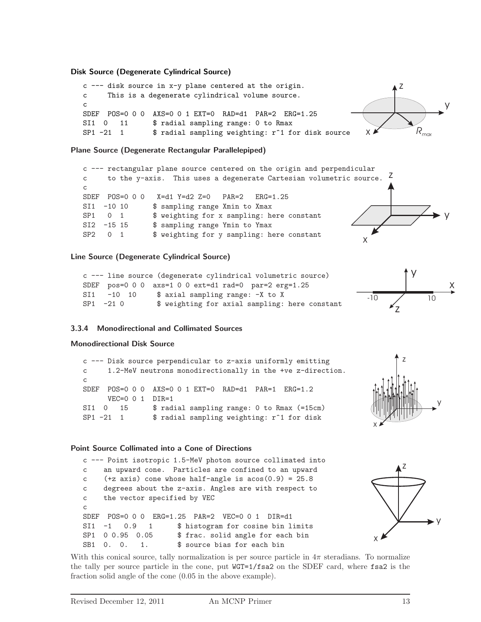**Disk Source (Degenerate Cylindrical Source)**

```
c --- disk source in x-y plane centered at the origin.
c This is a degenerate cylindrical volume source.
c
SDEF POS=0 0 0 AXS=0 0 1 EXT=0 RAD=d1 PAR=2 ERG=1.25
SI1 0 11 $ radial sampling range: 0 to Rmax
SP1 -21 1 \bullet fradial sampling weighting: r^1 for disk source
                                                                          z
                                                                  X A
                                                                                     y
                                                                              Rmax
```
**Plane Source (Degenerate Rectangular Parallelepiped)**

```
c --- rectangular plane source centered on the origin and perpendicular
c to the y-axis. This uses a degenerate Cartesian volumetric source.
c
SDEF POS=0 0 0 X=d1 Y=d2 Z=0 PAR=2 ERG=1.25
SI1 -10 10 $ sampling range Xmin to Xmax
SP1 0 1 $ weighting for x sampling: here constant<br>SI2 -15 15 $ sampling range Ymin to Ymax
                 $ sampling range Ymin to Ymax
SP2 0 1 $ weighting for y sampling: here constantz
```
# **Line Source (Degenerate Cylindrical Source)**

```
c --- line source (degenerate cylindrical volumetric source)
SDEF pos=0 0 0 axs=1 0 0 ext=d1 rad=0 par=2 erg=1.25
SI1 -10 10 $ axial sampling range: -X to X
SP1 -21 0 \quad $ weighting for axial sampling: here constant
```
# x y

y



# **3.3.4 Monodirectional and Collimated Sources**

# **Monodirectional Disk Source**

c --- Disk source perpendicular to z-axis uniformly emitting c 1.2-MeV neutrons monodirectionally in the +ve z-direction.  $\epsilon$ SDEF POS=0 0 0 AXS=0 0 1 EXT=0 RAD=d1 PAR=1 ERG=1.2 VEC=0 0 1 DIR=1 SI1 0 15 \$ radial sampling range: 0 to Rmax (=15cm) SP1 -21 1 \$ radial sampling weighting: r<sup>^1</sup> for disk



#### **Point Source Collimated into a Cone of Directions**

```
c --- Point isotropic 1.5-MeV photon source collimated into
c an upward cone. Particles are confined to an upward
c (+z \text{ axis}) cone whose half-angle is acos(0.9) = 25.8c degrees about the z-axis. Angles are with respect to
c the vector specified by VEC
c
SDEF POS=0 0 0 ERG=1.25 PAR=2 VEC=0 0 1 DIR=d1
SI1 -1 0.9 1 $ histogram for cosine bin limits
SP1 0 0.95 0.05 $ frac. solid angle for each bin
SB1 0. 0. 1. $ source bias for each bin
```


With this conical source, tally normalization is per source particle in  $4\pi$  steradians. To normalize the tally per source particle in the cone, put WGT=1/fsa2 on the SDEF card, where fsa2 is the fraction solid angle of the cone (0.05 in the above example).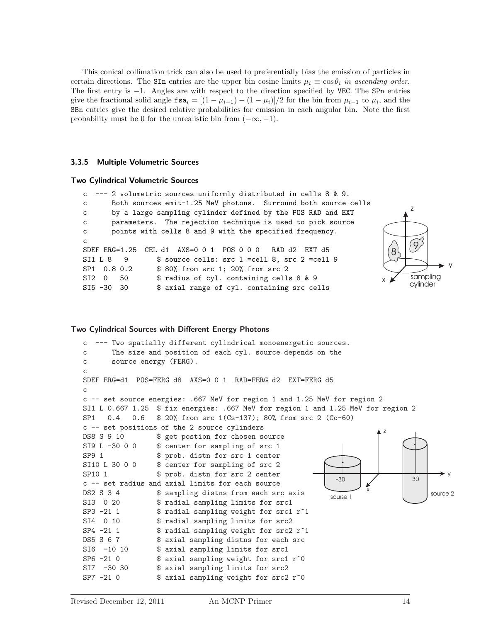This conical collimation trick can also be used to preferentially bias the emission of particles in certain directions. The SIn entries are the upper bin cosine limits  $\mu_i \equiv \cos \theta_i$  in ascending order. The first entry is  $-1$ . Angles are with respect to the direction specified by VEC. The SPn entries give the fractional solid angle  $\text{fsa}_i = [(1 - \mu_{i-1}) - (1 - \mu_i)]/2$  for the bin from  $\mu_{i-1}$  to  $\mu_i$ , and the SBn entries give the desired relative probabilities for emission in each angular bin. Note the first probability must be 0 for the unrealistic bin from  $(-\infty, -1)$ .

#### **3.3.5 Multiple Volumetric Sources**

#### **Two Cylindrical Volumetric Sources**

```
c --- 2 volumetric sources uniformly distributed in cells 8 & 9.
c Both sources emit-1.25 MeV photons. Surround both source cells
c by a large sampling cylinder defined by the POS RAD and EXT
c parameters. The rejection technique is used to pick source
c points with cells 8 and 9 with the specified frequency.
c
SDEF ERG=1.25 CEL d1 AXS=0 0 1 POS 0 0 0 RAD d2 EXT d5
SI1 L 8 9 $ source cells: src 1 =cell 8, src 2 =cell 9
SP1 0.8 0.2 $ 80% from src 1; 20% from src 2
SI2 0 50 $ radius of cyl. containing cells 8 & 9
SI5 -30 30 $ axial range of cyl. containing src cells
                                                                             z
                                                                       x
                                                                         \begin{bmatrix} 8 \\ 9 \end{bmatrix}sampling
                                                                             cylinder
```
#### **Two Cylindrical Sources with Different Energy Photons**

```
c --- Two spatially different cylindrical monoenergetic sources.
c The size and position of each cyl. source depends on the
c source energy (FERG).
c
SDEF ERG=d1 POS=FERG d8 AXS=0 0 1 RAD=FERG d2 EXT=FERG d5
c
c -- set source energies: .667 MeV for region 1 and 1.25 MeV for region 2
SI1 L 0.667 1.25 $ fix energies: .667 MeV for region 1 and 1.25 MeV for region 2
SP1 0.4 0.6 $ 20% from src 1(Cs-137); 80% from src 2 (Co-60)
c -- set positions of the 2 source cylinders
DS8 S 9 10 $ get postion for chosen source
SI9 L -30 0 0 $ center for sampling of src 1
SP9 1 $ prob. distn for src 1 center
SI10 L 30 0 0 $ center for sampling of src 2
SP10 1 $ prob. distn for src 2 center
c -- set radius and axial limits for each source
DS2 S 3 4 $ sampling distns from each src axis
SI3 0 20 $ radial sampling limits for src1
SP3 -21 1 $ radial sampling weight for src1 r<sup>^1</sup>
SI4 0 10 $ radial sampling limits for src2
SP4 -21 1 \qquad $ radial sampling weight for src2 r^1
DS5 S 6 7 $ axial sampling distns for each src
SI6 -10 10 $ axial sampling limits for src1
SP6 -21 0 \frac{1}{2} $ axial sampling weight for src1 r<sup>o</sup>0
SI7 -30 30 $ axial sampling limits for src2
SP7 -21 0 \quad $ axial sampling weight for src2 r^0
                                                                    z
                                                                x
                                                                                  y
                                                       sourse 1
                                                         -30 \sqrt{30} 30
```
y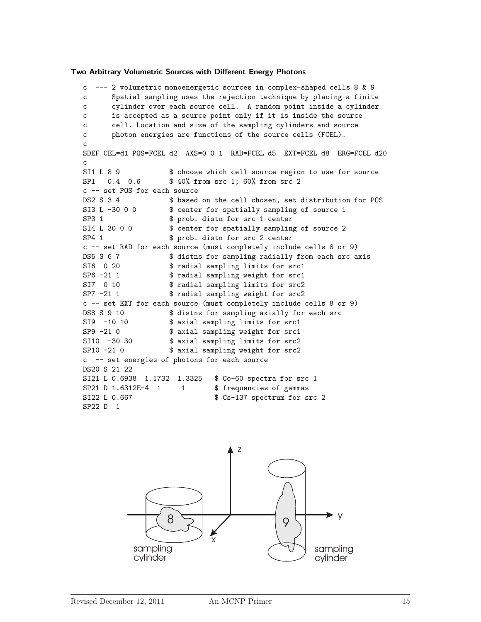**Two Arbitrary Volumetric Sources with Different Energy Photons**

c --- 2 volumetric monoenergetic sources in complex-shaped cells 8 & 9 c Spatial sampling uses the rejection technique by placing a finite c cylinder over each source cell. A random point inside a cylinder c is accepted as a source point only if it is inside the source c cell. Location and size of the sampling cylinders and source c photon energies are functions of the source cells (FCEL). c SDEF CEL=d1 POS=FCEL d2 AXS=0 0 1 RAD=FCEL d5 EXT=FCEL d8 ERG=FCEL d20  $\epsilon$ SI1 L 8 9 \$ choose which cell source region to use for source SP1 0.4 0.6 \$40% from src 1; 60% from src 2 c -- set POS for each source DS2 S 3 4 \$ based on the cell chosen, set distribution for POS SI3 L -30 0 0  $\quad$  \$ center for spatially sampling of source 1 SP3 1 \$ prob. distn for src 1 center SI4 L 30 0 0 \$ center for spatially sampling of source 2 SP4 1 \$ prob. distn for src 2 center c -- set RAD for each source (must completely include cells 8 or 9) DS5 S 6 7 \$ distns for sampling radially from each src axis SI6 0 20 \$ radial sampling limits for src1 SP6 -21 1  $\frac{1}{3}$  fradial sampling weight for src1<br>SI7 0 10  $\frac{1}{3}$  radial sampling limits for src2 \$ radial sampling limits for src2 SP7 -21 1 \$ radial sampling weight for src2 c -- set EXT for each source (must completely include cells 8 or 9) DS8 S 9 10 \$ distns for sampling axially for each src SI9 -10 10 \$ axial sampling limits for src1 SP9 -21 0 \$ axial sampling weight for src1 SI10 -30 30 \$ axial sampling limits for src2 SP10 -21 0 \$ axial sampling weight for src2 c -- set energies of photons for each source DS20 S 21 22 SI21 L 0.6938 1.1732 1.3325 \$ Co-60 spectra for src 1 SP21 D 1.6312E-4 1 1 \$ frequencies of gammas SI22 L 0.667  $$ Cs-137 spectrum for src 2$ SP22 D 1

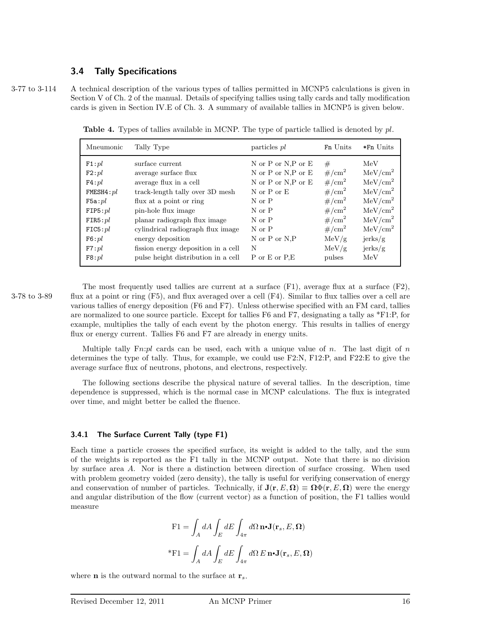# **3.4 Tally Specifications**

3-77 to 3-114 A technical description of the various types of tallies permitted in MCNP5 calculations is given in Section V of Ch. 2 of the manual. Details of specifying tallies using tally cards and tally modification cards is given in Section IV.E of Ch. 3. A summary of available tallies in MCNP5 is given below.

Mneumonic Tally Type **particles pl** Fn Units  $*$ Fn Units F1: $pl$  surface current N or P or N,P or E # MeV F2:pl average surface flux  $N$  or P or N,P or E  $\#/\text{cm}^2$  MeV/cm<sup>2</sup> **F4**:pl average flux in a cell N or P or N,P or E  $\#/\text{cm}^2$  MeV/cm<sup>2</sup> FMESH4:pl track-length tally over 3D mesh N or P or E  $\#/\text{cm}^2$  MeV/cm<sup>2</sup> **F5a:** $pl$  flux at a point or ring N or P  $\#/\text{cm}^2$  MeV/cm<sup>2</sup> FIP5: $pl$  pin-hole flux image N or P  $\#/cm^2$  MeV/cm<sup>2</sup> FIR5:  $pl$  planar radiograph flux image N or P  $\#/\text{cm}^2$  MeV/cm<sup>2</sup> FIC5:pl cylindrical radiograph flux image N or P  $\#/\text{cm}^2$  MeV/cm<sup>2</sup> F6:pl energy deposition N or P or N,P MeV/g  $j$ erks/g  $F7:pl$  fission energy deposition in a cell N MeV/g jerks/g  $F8:pl$  pulse height distribution in a cell P or E or P,E pulses MeV

**Table 4.** Types of tallies available in MCNP. The type of particle tallied is denoted by *pl*.

The most frequently used tallies are current at a surface  $(F1)$ , average flux at a surface  $(F2)$ , 3-78 to 3-89 flux at a point or ring  $(F5)$ , and flux averaged over a cell  $(F4)$ . Similar to flux tallies over a cell are various tallies of energy deposition (F6 and F7). Unless otherwise specified with an FM card, tallies are normalized to one source particle. Except for tallies F6 and F7, designating a tally as \*F1:P, for example, multiplies the tally of each event by the photon energy. This results in tallies of energy flux or energy current. Tallies F6 and F7 are already in energy units.

> Multiple tally F*n*:*pl* cards can be used, each with a unique value of *n*. The last digit of *n* determines the type of tally. Thus, for example, we could use F2:N, F12:P, and F22:E to give the average surface flux of neutrons, photons, and electrons, respectively.

> The following sections describe the physical nature of several tallies. In the description, time dependence is suppressed, which is the normal case in MCNP calculations. The flux is integrated over time, and might better be called the fluence.

# **3.4.1 The Surface Current Tally (type F1)**

Each time a particle crosses the specified surface, its weight is added to the tally, and the sum of the weights is reported as the F1 tally in the MCNP output. Note that there is no division by surface area *A*. Nor is there a distinction between direction of surface crossing. When used with problem geometry voided (zero density), the tally is useful for verifying conservation of energy and conservation of number of particles. Technically, if  $J(r, E, \Omega) \equiv \Omega \Phi(r, E, \Omega)$  were the energy and angular distribution of the flow (current vector) as a function of position, the F1 tallies would measure

$$
\begin{aligned} \mathrm{F1} &= \int_A dA \int_E dE \int_{4\pi} d\Omega \, \mathbf{n} \cdot \mathbf{J}(\mathbf{r}_s, E, \Omega) \\ * \mathrm{F1} &= \int_A dA \int_E dE \int_{4\pi} d\Omega \, E \, \mathbf{n} \cdot \mathbf{J}(\mathbf{r}_s, E, \Omega) \end{aligned}
$$

where **n** is the outward normal to the surface at **r***s*.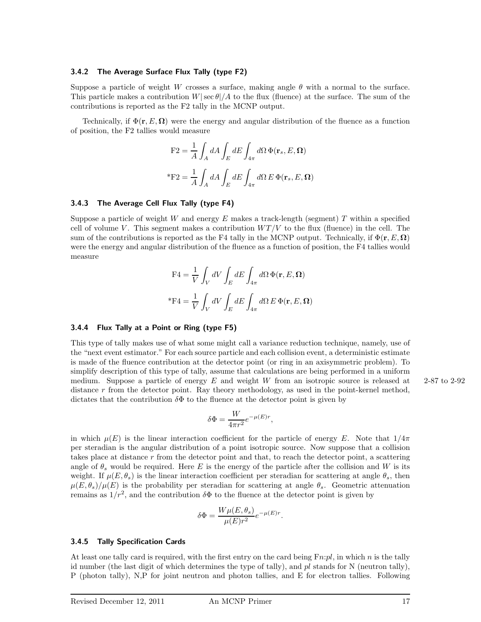# **3.4.2 The Average Surface Flux Tally (type F2)**

Suppose a particle of weight *W* crosses a surface, making angle  $\theta$  with a normal to the surface. This particle makes a contribution  $W|\sec \theta|/A$  to the flux (fluence) at the surface. The sum of the contributions is reported as the F2 tally in the MCNP output.

Technically, if  $\Phi(\mathbf{r},E,\mathbf{\Omega})$  were the energy and angular distribution of the fluence as a function of position, the F2 tallies would measure

$$
\mathbf{F2} = \frac{1}{A} \int_A dA \int_E dE \int_{4\pi} d\Omega \, \Phi(\mathbf{r}_s, E, \Omega)
$$

$$
^* \mathbf{F2} = \frac{1}{A} \int_A dA \int_E dE \int_{4\pi} d\Omega E \, \Phi(\mathbf{r}_s, E, \Omega)
$$

#### **3.4.3 The Average Cell Flux Tally (type F4)**

Suppose a particle of weight *W* and energy *E* makes a track-length (segment) *T* within a specified cell of volume *V*. This segment makes a contribution  $WT/V$  to the flux (fluence) in the cell. The sum of the contributions is reported as the F4 tally in the MCNP output. Technically, if  $\Phi(\mathbf{r},E,\mathbf{\Omega})$ were the energy and angular distribution of the fluence as a function of position, the F4 tallies would measure

$$
F4 = \frac{1}{V} \int_{V} dV \int_{E} dE \int_{4\pi} d\Omega \Phi(\mathbf{r}, E, \Omega)
$$
  
\*
$$
F4 = \frac{1}{V} \int_{V} dV \int_{E} dE \int_{4\pi} d\Omega E \Phi(\mathbf{r}, E, \Omega)
$$

#### **3.4.4 Flux Tally at a Point or Ring (type F5)**

This type of tally makes use of what some might call a variance reduction technique, namely, use of the "next event estimator." For each source particle and each collision event, a deterministic estimate is made of the fluence contribution at the detector point (or ring in an axisymmetric problem). To simplify description of this type of tally, assume that calculations are being performed in a uniform medium. Suppose a particle of energy *E* and weight *W* from an isotropic source is released at 2-87 to 2-92 distance *r* from the detector point. Ray theory methodology, as used in the point-kernel method, dictates that the contribution  $\delta\Phi$  to the fluence at the detector point is given by

$$
\delta \Phi = \frac{W}{4\pi r^2} e^{-\mu(E)r},
$$

in which  $\mu(E)$  is the linear interaction coefficient for the particle of energy *E*. Note that  $1/4\pi$ per steradian is the angular distribution of a point isotropic source. Now suppose that a collision takes place at distance *r* from the detector point and that, to reach the detector point, a scattering angle of  $\theta_s$  would be required. Here *E* is the energy of the particle after the collision and *W* is its weight. If  $\mu(E, \theta_s)$  is the linear interaction coefficient per steradian for scattering at angle  $\theta_s$ , then  $\mu(E,\theta_s)/\mu(E)$  is the probability per steradian for scattering at angle  $\theta_s$ . Geometric attenuation remains as  $1/r^2$ , and the contribution  $\delta\Phi$  to the fluence at the detector point is given by

$$
\delta \Phi = \frac{W \mu(E, \theta_s)}{\mu(E) r^2} e^{-\mu(E) r}.
$$

#### **3.4.5 Tally Specification Cards**

At least one tally card is required, with the first entry on the card being F*n*:*pl*, in which *n* is the tally id number (the last digit of which determines the type of tally), and *pl* stands for N (neutron tally), P (photon tally), N,P for joint neutron and photon tallies, and E for electron tallies. Following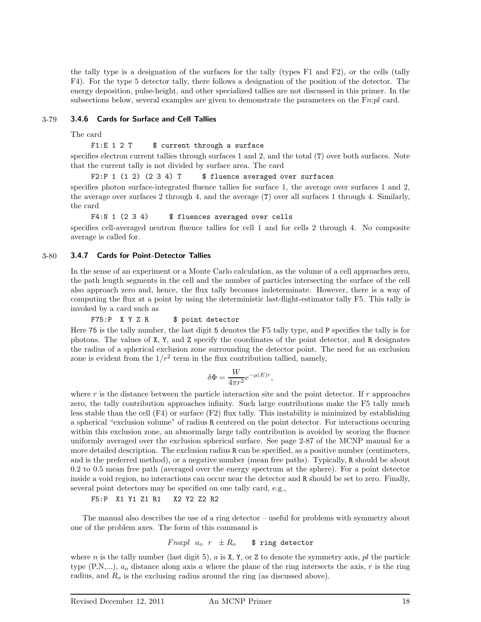the tally type is a designation of the surfaces for the tally (types F1 and F2), or the cells (tally F4). For the type 5 detector tally, there follows a designation of the position of the detector. The energy deposition, pulse-height, and other specialized tallies are not discussed in this primer. In the subsections below, several examples are given to demonstrate the parameters on the F*n*:*pl* card.

# 3-79 **3.4.6 Cards for Surface and Cell Tallies**

The card

# F1:E  $1 2 T$   $$ current through a surface$

specifies electron current tallies through surfaces 1 and 2, and the total (T) over both surfaces. Note that the current tally is not divided by surface area. The card

F2:P 1 (1 2) (2 3 4) T  $$$  fluence averaged over surfaces

specifies photon surface-integrated fluence tallies for surface 1, the average over surfaces 1 and 2, the average over surfaces 2 through 4, and the average (T) over all surfaces 1 through 4. Similarly, the card

# F4:N 1 (2 3 4) \$ fluences averaged over cells

specifies cell-averaged neutron fluence tallies for cell 1 and for cells 2 through 4. No composite average is called for.

# 3-80 **3.4.7 Cards for Point-Detector Tallies**

In the sense of an experiment or a Monte Carlo calculation, as the volume of a cell approaches zero, the path length segments in the cell and the number of particles intersecting the surface of the cell also approach zero and, hence, the flux tally becomes indeterminate. However, there is a way of computing the flux at a point by using the deterministic last-flight-estimator tally F5. This tally is invoked by a card such as

# F75:P X Y Z R \$ point detector

Here 75 is the tally number, the last digit 5 denotes the F5 tally type, and P specifies the tally is for photons. The values of X, Y, and Z specify the coordinates of the point detector, and R designates the radius of a spherical exclusion zone surrounding the detector point. The need for an exclusion zone is evident from the  $1/r^2$  term in the flux contribution tallied, namely,

$$
\delta \Phi = \frac{W}{4\pi r^2} e^{-\mu(E) r},
$$

where *r* is the distance between the particle interaction site and the point detector. If *r* approaches zero, the tally contribution approaches infinity. Such large contributions make the F5 tally much less stable than the cell (F4) or surface (F2) flux tally. This instability is minimized by establishing a spherical "exclusion volume" of radius R centered on the point detector. For interactions occuring within this exclusion zone, an abnormally large tally contribution is avoided by scoring the fluence uniformly averaged over the exclusion spherical surface. See page 2-87 of the MCNP manual for a more detailed description. The exclusion radius R can be specified, as a positive number (centimeters, and is the preferred method), or a negative number (mean free paths). Typically, R should be about 0.2 to 0.5 mean free path (averaged over the energy spectrum at the sphere). For a point detector inside a void region, no interactions can occur near the detector and R should be set to zero. Finally, several point detectors may be specified on one tally card, e.g.,

F5:P X1 Y1 Z1 R1 X2 Y2 Z2 R2

The manual also describes the use of a ring detector – useful for problems with symmetry about one of the problem axes. The form of this command is

$$
Fna:pl\ \ a_o\ \ r\ \ \pm R_o\qquad \texttt{\$ ring detector}
$$

where *n* is the tally number (last digit 5),  $a$  is  $X, Y$ , or  $Z$  to denote the symmetry axis,  $pl$  the particle type (P,N,...), *a<sup>o</sup>* distance along axis *a* where the plane of the ring intersects the axis, *r* is the ring radius, and *R<sup>o</sup>* is the exclusing radius around the ring (as discussed above).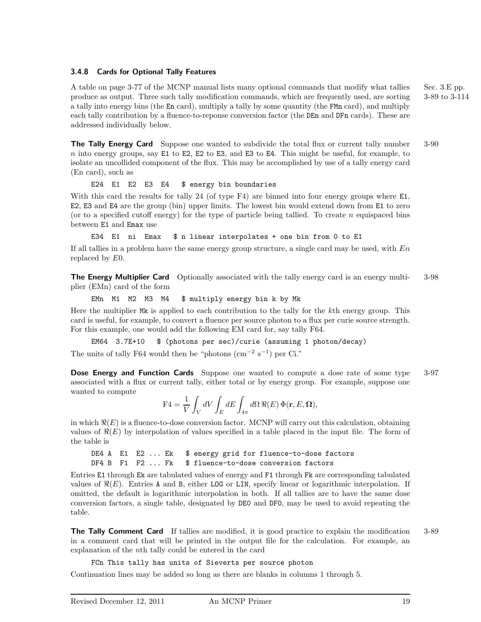# **3.4.8 Cards for Optional Tally Features**

A table on page 3-77 of the MCNP manual lists many optional commands that modify what tallies Sec. 3.E pp. produce as output. Three such tally modification commands, which are frequently used, are sorting 3-89 to 3-114 a tally into energy bins (the En card), multiply a tally by some quantity (the FMn card), and multiply each tally contribution by a fluence-to-reponse conversion factor (the DEn and DFn cards). These are addressed individually below.

**The Tally Energy Card** Suppose one wanted to subdivide the total flux or current tally number 3-90 *n* into energy groups, say E1 to E2, E2 to E3, and E3 to E4. This might be useful, for example, to isolate an uncollided component of the flux. This may be accomplished by use of a tally energy card (En card), such as

E24 E1 E2 E3 E4 \$ energy bin boundaries

With this card the results for tally 24 (of type F4) are binned into four energy groups where E1, E2, E3 and E4 are the group (bin) upper limits. The lowest bin would extend down from E1 to zero (or to a specified cutoff energy) for the type of particle being tallied. To create *n* equispaced bins between E1 and Emax use

E34 E1 ni Emax \$ n linear interpolates + one bin from 0 to E1

If all tallies in a problem have the same energy group structure, a single card may be used, with *En* replaced by *E*0.

**The Energy Multiplier Card** Optionally associated with the tally energy card is an energy multi- 3-98 plier (EMn) card of the form

EMn M1 M2 M3 M4 \$ multiply energy bin k by Mk

Here the multiplier Mk is applied to each contribution to the tally for the *k*th energy group. This card is useful, for example, to convert a fluence per source photon to a flux per curie source strength. For this example, one would add the following EM card for, say tally F64.

EM64 3.7E+10 \$ (photons per sec)/curie (assuming 1 photon/decay)

The units of tally F64 would then be "photons (cm<sup>-2</sup> s<sup>-1</sup>) per Ci."

**Dose Energy and Function Cards** Suppose one wanted to compute a dose rate of some type 3-97 associated with a flux or current tally, either total or by energy group. For example, suppose one wanted to compute

$$
\mathbf{F4} = \frac{1}{V} \int_{V} dV \int_{E} dE \int_{4\pi} d\Omega \, \Re(E) \, \Phi(\mathbf{r}, E, \Omega),
$$

in which  $\Re(E)$  is a fluence-to-dose conversion factor. MCNP will carry out this calculation, obtaining values of  $\Re(E)$  by interpolation of values specified in a table placed in the input file. The form of the table is

DE4 A E1 E2 ... Ek \$ energy grid for fluence-to-dose factors DF4 B F1 F2 ... Fk \$ fluence-to-dose conversion factors

Entries E1 through Ek are tabulated values of energy and F1 through Fk are corresponding tabulated values of  $\Re(E)$ . Entries A and B, either LOG or LIN, specify linear or logarithmic interpolation. If omitted, the default is logarithmic interpolation in both. If all tallies are to have the same dose conversion factors, a single table, designated by DE0 and DF0, may be used to avoid repeating the table.

**The Tally Comment Card** If tallies are modified, it is good practice to explain the modification 3-89 in a comment card that will be printed in the output file for the calculation. For example, an explanation of the *n*th tally could be entered in the card

FCn This tally has units of Sieverts per source photon

Continuation lines may be added so long as there are blanks in columns 1 through 5.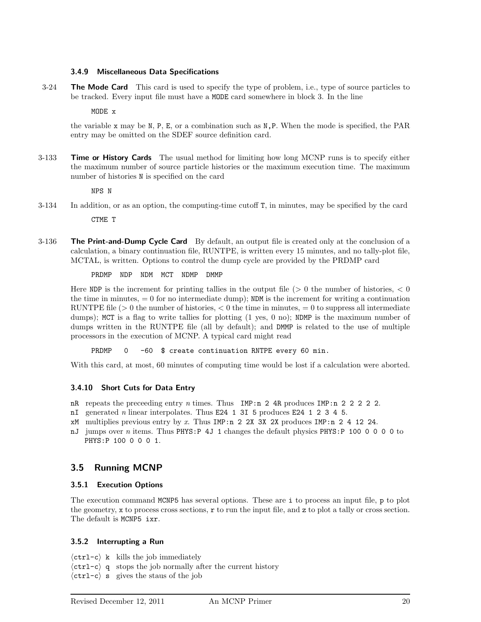# **3.4.9 Miscellaneous Data Specifications**

3-24 **The Mode Card** This card is used to specify the type of problem, i.e., type of source particles to be tracked. Every input file must have a MODE card somewhere in block 3. In the line

MODE x

the variable x may be N, P, E, or a combination such as N,P. When the mode is specified, the PAR entry may be omitted on the SDEF source definition card.

3-133 **Time or History Cards** The usual method for limiting how long MCNP runs is to specify either the maximum number of source particle histories or the maximum execution time. The maximum number of histories N is specified on the card

NPS N

- 3-134 In addition, or as an option, the computing-time cutoff T, in minutes, may be specified by the card CTME T
- 3-136 **The Print-and-Dump Cycle Card** By default, an output file is created only at the conclusion of a calculation, a binary continuation file, RUNTPE, is written every 15 minutes, and no tally-plot file, MCTAL, is written. Options to control the dump cycle are provided by the PRDMP card

PRDMP NDP NDM MCT NDMP DMMP

Here NDP is the increment for printing tallies in the output file (*>* 0 the number of histories, *<* 0 the time in minutes,  $= 0$  for no intermediate dump); NDM is the increment for writing a continuation RUNTPE file  $(>0$  the number of histories,  $< 0$  the time in minutes,  $= 0$  to suppress all intermediate dumps); MCT is a flag to write tallies for plotting  $(1 \text{ yes}, 0 \text{ no})$ ; NDMP is the maximum number of dumps written in the RUNTPE file (all by default); and DMMP is related to the use of multiple processors in the execution of MCNP. A typical card might read

PRDMP 0 -60 \$ create continuation RNTPE every 60 min.

With this card, at most, 60 minutes of computing time would be lost if a calculation were aborted.

# **3.4.10 Short Cuts for Data Entry**

- nR repeats the preceeding entry n times. Thus IMP:n 2 4R produces IMP:n 2 2 2 2 2.
- nI generated n linear interpolates. Thus E24 1 3I 5 produces E24 1 2 3 4 5.
- $xM$  multiplies previous entry by x. Thus IMP:n 2 2X 3X 2X produces IMP:n 2 4 12 24.
- nJ jumps over n items. Thus PHYS: P 4J 1 changes the default physics PHYS: P 100 0 0 0 0 to PHYS:P 100 0 0 0 1.

# **3.5 Running MCNP**

# **3.5.1 Execution Options**

The execution command MCNP5 has several options. These are i to process an input file, p to plot the geometry, x to process cross sections,  $r$  to run the input file, and z to plot a tally or cross section. The default is MCNP5 ixr.

# **3.5.2 Interrupting a Run**

 $\langle \texttt{ctrl-c} \rangle$  k kills the job immediately

- $\langle \text{ctrl-c} \rangle$  q stops the job normally after the current history
- $\langle \text{ctrl-c} \rangle$  s gives the staus of the job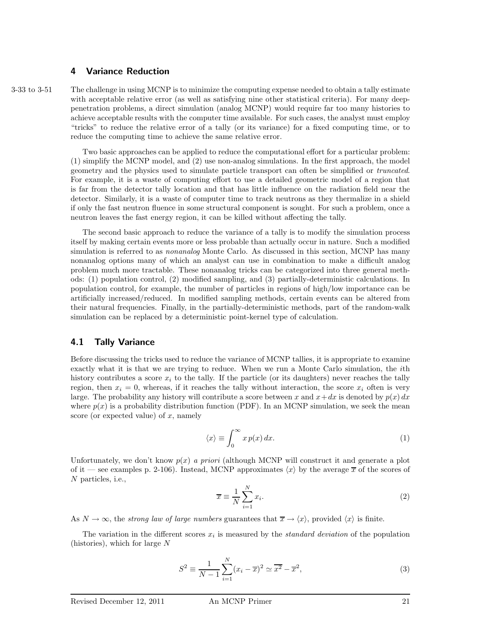# **4 Variance Reduction**

3-33 to 3-51 The challenge in using MCNP is to minimize the computing expense needed to obtain a tally estimate with acceptable relative error (as well as satisfying nine other statistical criteria). For many deeppenetration problems, a direct simulation (analog MCNP) would require far too many histories to achieve acceptable results with the computer time available. For such cases, the analyst must employ "tricks" to reduce the relative error of a tally (or its variance) for a fixed computing time, or to reduce the computing time to achieve the same relative error.

> Two basic approaches can be applied to reduce the computational effort for a particular problem: (1) simplify the MCNP model, and (2) use non-analog simulations. In the first approach, the model geometry and the physics used to simulate particle transport can often be simplified or truncated. For example, it is a waste of computing effort to use a detailed geometric model of a region that is far from the detector tally location and that has little influence on the radiation field near the detector. Similarly, it is a waste of computer time to track neutrons as they thermalize in a shield if only the fast neutron fluence in some structural component is sought. For such a problem, once a neutron leaves the fast energy region, it can be killed without affecting the tally.

> The second basic approach to reduce the variance of a tally is to modify the simulation process itself by making certain events more or less probable than actually occur in nature. Such a modified simulation is referred to as *nonanalog* Monte Carlo. As discussed in this section, MCNP has many nonanalog options many of which an analyst can use in combination to make a difficult analog problem much more tractable. These nonanalog tricks can be categorized into three general methods: (1) population control, (2) modified sampling, and (3) partially-deterministic calculations. In population control, for example, the number of particles in regions of high/low importance can be artificially increased/reduced. In modified sampling methods, certain events can be altered from their natural frequencies. Finally, in the partially-deterministic methods, part of the random-walk simulation can be replaced by a deterministic point-kernel type of calculation.

# **4.1 Tally Variance**

Before discussing the tricks used to reduce the variance of MCNP tallies, it is appropriate to examine exactly what it is that we are trying to reduce. When we run a Monte Carlo simulation, the *i*th history contributes a score  $x_i$  to the tally. If the particle (or its daughters) never reaches the tally region, then  $x_i = 0$ , whereas, if it reaches the tally without interaction, the score  $x_i$  often is very large. The probability any history will contribute a score between *x* and  $x + dx$  is denoted by  $p(x) dx$ where  $p(x)$  is a probability distribution function (PDF). In an MCNP simulation, we seek the mean score (or expected value) of *x*, namely

$$
\langle x \rangle \equiv \int_0^\infty x \, p(x) \, dx. \tag{1}
$$

Unfortunately, we don't know  $p(x)$  a priori (although MCNP will construct it and generate a plot of it — see examples p. 2-106). Instead, MCNP approximates  $\langle x \rangle$  by the average  $\overline{x}$  of the scores of *N* particles, i.e.,

$$
\overline{x} \equiv \frac{1}{N} \sum_{i=1}^{N} x_i.
$$
\n(2)

As  $N \to \infty$ , the *strong law of large numbers* guarantees that  $\overline{x} \to \langle x \rangle$ , provided  $\langle x \rangle$  is finite.

The variation in the different scores  $x_i$  is measured by the *standard deviation* of the population (histories), which for large *N*

$$
S^{2} \equiv \frac{1}{N-1} \sum_{i=1}^{N} (x_{i} - \overline{x})^{2} \simeq \overline{x^{2}} - \overline{x}^{2},
$$
\n(3)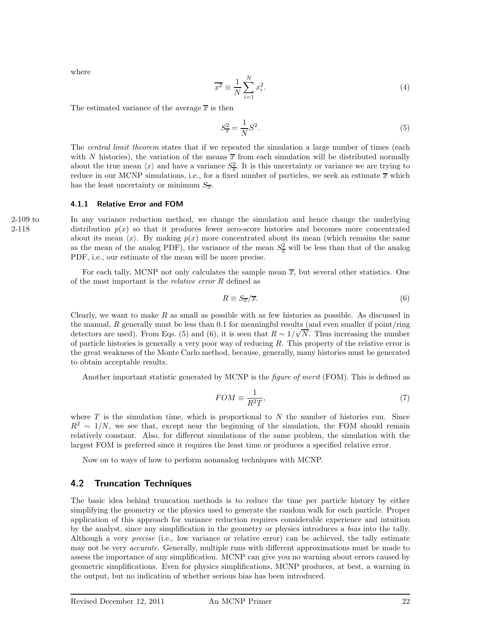where

$$
\overline{x^2} \equiv \frac{1}{N} \sum_{i=1}^{N} x_i^2.
$$
\n(4)

The estimated variance of the average  $\bar{x}$  is then

$$
S_{\overline{x}}^2 = \frac{1}{N}S^2.
$$
\n<sup>(5)</sup>

The *central limit theorem* states that if we repeated the simulation a large number of times (each with *N* histories), the variation of the means  $\bar{x}$  from each simulation will be distributed normally about the true mean  $\langle x \rangle$  and have a variance  $S_x^2$ . It is this uncertainty or variance we are trying to reduce in our MCNP simulations, i.e., for a fixed number of particles, we seek an estimate  $\bar{x}$  which has the least uncertainty or minimum  $S_{\overline{x}}$ .

#### **4.1.1 Relative Error and FOM**

2-109 to In any variance reduction method, we change the simulation and hence change the underlying 2-118 distribution  $p(x)$  so that it produces fewer zero-score histories and becomes more concentrated about its mean  $\langle x \rangle$ . By making  $p(x)$  more concentrated about its mean (which remains the same as the mean of the analog PDF), the variance of the mean  $S_x^2$  will be less than that of the analog PDF, i.e., our estimate of the mean will be more precise.

> For each tally, MCNP not only calculates the sample mean  $\bar{x}$ , but several other statistics. One of the most important is the relative error *R* defined as

$$
R \equiv S_{\overline{x}} / \overline{x}.\tag{6}
$$

Clearly, we want to make *R* as small as possible with as few histories as possible. As discussed in the manual,  $R$  generally must be less than  $0.1$  for meaningful results (and even smaller if point/ring detectors are used). From Eqs. (5) and (6), it is seen that  $R \sim 1/\sqrt{N}$ . Thus increasing the number of particle histories is generally a very poor way of reducing *R*. This property of the relative error is the great weakness of the Monte Carlo method, because, generally, many histories must be generated to obtain acceptable results.

Another important statistic generated by MCNP is the *figure of merit* (FOM). This is defined as

$$
FOM \equiv \frac{1}{R^2T},\tag{7}
$$

where  $T$  is the simulation time, which is proportional to  $N$  the number of histories run. Since  $R^2 \sim 1/N$ , we see that, except near the beginning of the simulation, the FOM should remain relatively constant. Also, for different simulations of the same problem, the simulation with the largest FOM is preferred since it requires the least time or produces a specified relative error.

Now on to ways of how to perform nonanalog techniques with MCNP.

# **4.2 Truncation Techniques**

The basic idea behind truncation methods is to reduce the time per particle history by either simplifying the geometry or the physics used to generate the random walk for each particle. Proper application of this approach for variance reduction requires considerable experience and intuition by the analyst, since any simplification in the geometry or physics introduces a bias into the tally. Although a very *precise* (i.e., low variance or relative error) can be achieved, the tally estimate may not be very *accurate*. Generally, multiple runs with different approximations must be made to assess the importance of any simplification. MCNP can give you no warning about errors caused by geometric simplifications. Even for physics simplifications, MCNP produces, at best, a warning in the output, but no indication of whether serious bias has been introduced.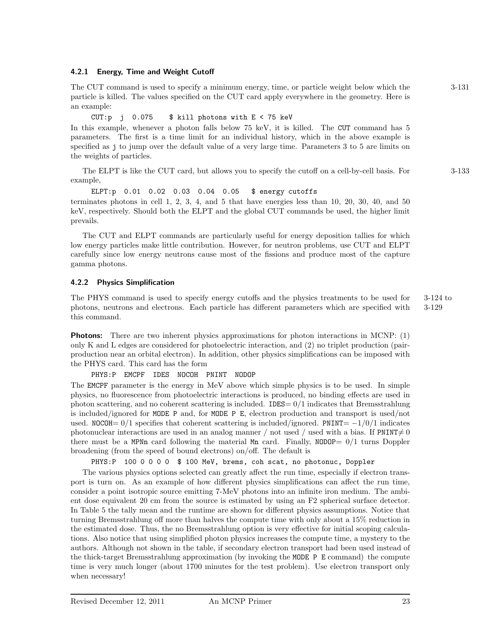# **4.2.1 Energy, Time and Weight Cutoff**

The CUT command is used to specify a minimum energy, time, or particle weight below which the 3-131 particle is killed. The values specified on the CUT card apply everywhere in the geometry. Here is an example:

CUT:p j 0.075 \$ kill photons with E < 75 keV

In this example, whenever a photon falls below 75 keV, it is killed. The CUT command has 5 parameters. The first is a time limit for an individual history, which in the above example is specified as j to jump over the default value of a very large time. Parameters 3 to 5 are limits on the weights of particles.

The ELPT is like the CUT card, but allows you to specify the cutoff on a cell-by-cell basis. For 3-133 example,

ELPT:p 0.01 0.02 0.03 0.04 0.05 \$ energy cutoffs

terminates photons in cell  $1, 2, 3, 4$ , and  $5$  that have energies less than  $10, 20, 30, 40$ , and  $50$ keV, respectively. Should both the ELPT and the global CUT commands be used, the higher limit prevails.

The CUT and ELPT commands are particularly useful for energy deposition tallies for which low energy particles make little contribution. However, for neutron problems, use CUT and ELPT carefully since low energy neutrons cause most of the fissions and produce most of the capture gamma photons.

# **4.2.2 Physics Simplification**

The PHYS command is used to specify energy cutoffs and the physics treatments to be used for 3-124 to photons, neutrons and electrons. Each particle has different parameters which are specified with 3-129 this command.

**Photons:** There are two inherent physics approximations for photon interactions in MCNP: (1) only K and L edges are considered for photoelectric interaction, and (2) no triplet production (pairproduction near an orbital electron). In addition, other physics simplifications can be imposed with the PHYS card. This card has the form

PHYS:P EMCPF IDES NOCOH PNINT NODOP

The EMCPF parameter is the energy in MeV above which simple physics is to be used. In simple physics, no fluorescence from photoelectric interactions is produced, no binding effects are used in photon scattering, and no coherent scattering is included. IDES= 0*/*1 indicates that Bremsstrahlung is included/ignored for MODE P and, for MODE P E, electron production and transport is used/not used. NOCOH=  $0/1$  specifies that coherent scattering is included/ignored. PNINT=  $-1/0/1$  indicates photonuclear interactions are used in an analog manner / not used / used with a bias. If  $PNINT \neq 0$ there must be a MPNn card following the material Mn card. Finally, NODOP=  $0/1$  turns Doppler broadening (from the speed of bound electrons) on/off. The default is

PHYS:P 100 0 0 0 0 \$ 100 MeV, brems, coh scat, no photonuc, Doppler

The various physics options selected can greatly affect the run time, especially if electron transport is turn on. As an example of how different physics simplifications can affect the run time, consider a point isotropic source emitting 7-MeV photons into an infinite iron medium. The ambient dose equivalent 20 cm from the source is estimated by using an F2 spherical surface detector. In Table 5 the tally mean and the runtime are shown for different physics assumptions. Notice that turning Bremsstrahlung off more than halves the compute time with only about a 15% reduction in the estimated dose. Thus, the no Bremsstrahlung option is very effective for initial scoping calculations. Also notice that using simplified photon physics increases the compute time, a mystery to the authors. Although not shown in the table, if secondary electron transport had been used instead of the thick-target Bremsstrahlung approximation (by invoking the MODE P E command) the compute time is very much longer (about 1700 minutes for the test problem). Use electron transport only when necessary!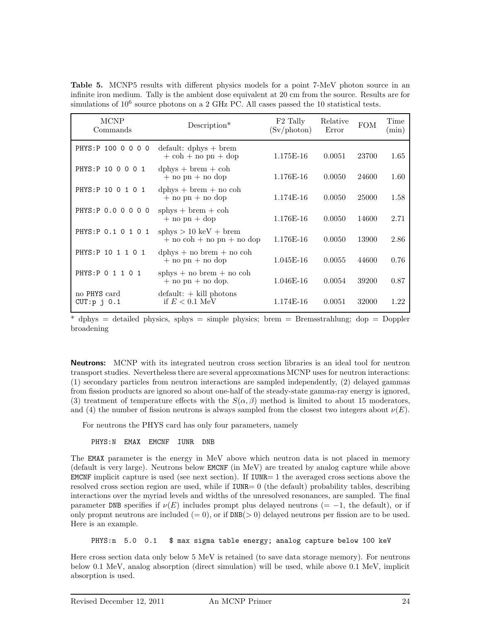**Table 5.** MCNP5 results with different physics models for a point 7-MeV photon source in an infinite iron medium. Tally is the ambient dose equivalent at 20 cm from the source. Results are for simulations of  $10^6$  source photons on a 2 GHz PC. All cases passed the 10 statistical tests.

| <b>MCNP</b><br>Commands          | $Description*$                                                                   | F <sub>2</sub> Tally<br>(Sv/photon) | Relative<br>Error | <b>FOM</b> | Time<br>$(\min)$ |
|----------------------------------|----------------------------------------------------------------------------------|-------------------------------------|-------------------|------------|------------------|
| PHYS: P 100 0 0 0 0              | $default: dphys + brem$<br>$+\ \cosh + \mathrm{no} \ \mathrm{pn} + \mathrm{dop}$ | 1.175E-16                           | 0.0051            | 23700      | 1.65             |
| PHYS: P 10 0 0 0 1               | $dphys + brem + coh$<br>$+$ no pn $+$ no dop                                     | 1.176E-16                           | 0.0050            | 24600      | 1.60             |
| PHYS: P 10 0 1 0 1               | $dphys + brem + no coh$<br>$+$ no pn $+$ no dop                                  | 1.174E-16                           | 0.0050            | 25000      | 1.58             |
| PHYS: P 0.0 0 0 0 0              | sphys $+$ brem $+$ coh<br>$+$ no pn $+$ dop                                      | 1.176E-16                           | 0.0050            | 14600      | 2.71             |
| PHYS: P 0.1 0 1 0 1              | sphys $> 10 \text{ keV} + \text{brem}$<br>$+$ no coh $+$ no pn $+$ no dop        | 1.176E-16                           | 0.0050            | 13900      | 2.86             |
| PHYS: P 10 1 1 0 1               | $dphys + no brem + no coh$<br>$+$ no pn $+$ no dop                               | 1.045E-16                           | 0.0055            | 44600      | 0.76             |
| PHYS: P 0 1 1 0 1                | sphys $+$ no brem $+$ no coh<br>$+$ no pn $+$ no dop.                            | 1.046E-16                           | 0.0054            | 39200      | 0.87             |
| no PHYS card<br>$CUT: p \ni 0.1$ | $default: + kill photons$<br>if $E < 0.1$ MeV                                    | 1.174E-16                           | 0.0051            | 32000      | 1.22             |

\* dphys = detailed physics, sphys = simple physics; brem = Bremsstrahlung; dop = Doppler broadening

**Neutrons:** MCNP with its integrated neutron cross section libraries is an ideal tool for neutron transport studies. Nevertheless there are several approxmations MCNP uses for neutron interactions: (1) secondary particles from neutron interactions are sampled independently, (2) delayed gammas from fission products are ignored so about one-half of the steady-state gamma-ray energy is ignored, (3) treatment of temperature effects with the  $S(\alpha, \beta)$  method is limited to about 15 moderators, and (4) the number of fission neutrons is always sampled from the closest two integers about  $\nu(E)$ .

For neutrons the PHYS card has only four parameters, namely

PHYS:N EMAX EMCNF IUNR DNB

The EMAX parameter is the energy in MeV above which neutron data is not placed in memory (default is very large). Neutrons below EMCNF (in MeV) are treated by analog capture while above EMCNF implicit capture is used (see next section). If  $IUNR=1$  the averaged cross sections above the resolved cross section region are used, while if IUNR= 0 (the default) probability tables, describing interactions over the myriad levels and widths of the unresolved resonances, are sampled. The final parameter DNB specifies if  $\nu(E)$  includes prompt plus delayed neutrons (= -1, the default), or if only propmt neutrons are included  $(= 0)$ , or if  $DNB(> 0)$  delayed neutrons per fission are to be used. Here is an example.

PHYS:n 5.0 0.1 \$ max sigma table energy; analog capture below 100 keV

Here cross section data only below 5 MeV is retained (to save data storage memory). For neutrons below 0.1 MeV, analog absorption (direct simulation) will be used, while above 0.1 MeV, implicit absorption is used.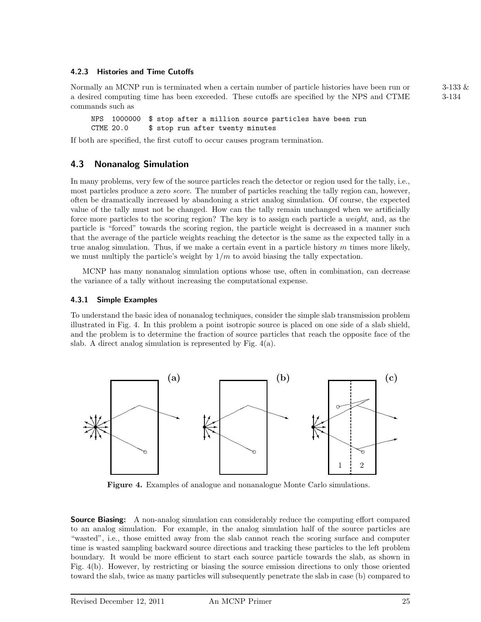# **4.2.3 Histories and Time Cutoffs**

Normally an MCNP run is terminated when a certain number of particle histories have been run or 3-133 & a desired computing time has been exceeded. These cutoffs are specified by the NPS and CTME 3-134 commands such as

NPS 1000000 \$ stop after a million source particles have been run CTME 20.0 \$ stop run after twenty minutes

If both are specified, the first cutoff to occur causes program termination.

# **4.3 Nonanalog Simulation**

In many problems, very few of the source particles reach the detector or region used for the tally, i.e., most particles produce a zero *score*. The number of particles reaching the tally region can, however, often be dramatically increased by abandoning a strict analog simulation. Of course, the expected value of the tally must not be changed. How can the tally remain unchanged when we artificially force more particles to the scoring region? The key is to assign each particle a *weight*, and, as the particle is "forced" towards the scoring region, the particle weight is decreased in a manner such that the average of the particle weights reaching the detector is the same as the expected tally in a true analog simulation. Thus, if we make a certain event in a particle history *m* times more likely, we must multiply the particle's weight by 1*/m* to avoid biasing the tally expectation.

MCNP has many nonanalog simulation options whose use, often in combination, can decrease the variance of a tally without increasing the computational expense.

# **4.3.1 Simple Examples**

To understand the basic idea of nonanalog techniques, consider the simple slab transmission problem illustrated in Fig. 4. In this problem a point isotropic source is placed on one side of a slab shield, and the problem is to determine the fraction of source particles that reach the opposite face of the slab. A direct analog simulation is represented by Fig. 4(a).



**Figure 4.** Examples of analogue and nonanalogue Monte Carlo simulations.

**Source Biasing:** A non-analog simulation can considerably reduce the computing effort compared to an analog simulation. For example, in the analog simulation half of the source particles are "wasted", i.e., those emitted away from the slab cannot reach the scoring surface and computer time is wasted sampling backward source directions and tracking these particles to the left problem boundary. It would be more efficient to start each source particle towards the slab, as shown in Fig. 4(b). However, by restricting or biasing the source emission directions to only those oriented toward the slab, twice as many particles will subsequently penetrate the slab in case (b) compared to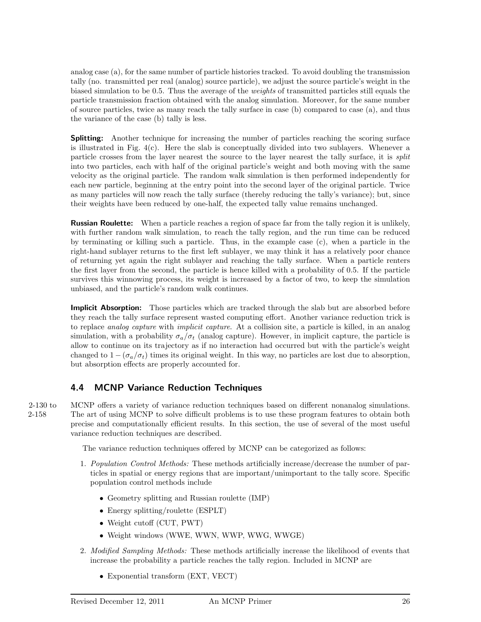analog case (a), for the same number of particle histories tracked. To avoid doubling the transmission tally (no. transmitted per real (analog) source particle), we adjust the source particle's weight in the biased simulation to be 0.5. Thus the average of the weights of transmitted particles still equals the particle transmission fraction obtained with the analog simulation. Moreover, for the same number of source particles, twice as many reach the tally surface in case (b) compared to case (a), and thus the variance of the case (b) tally is less.

**Splitting:** Another technique for increasing the number of particles reaching the scoring surface is illustrated in Fig. 4(c). Here the slab is conceptually divided into two sublayers. Whenever a particle crosses from the layer nearest the source to the layer nearest the tally surface, it is split into two particles, each with half of the original particle's weight and both moving with the same velocity as the original particle. The random walk simulation is then performed independently for each new particle, beginning at the entry point into the second layer of the original particle. Twice as many particles will now reach the tally surface (thereby reducing the tally's variance); but, since their weights have been reduced by one-half, the expected tally value remains unchanged.

**Russian Roulette:** When a particle reaches a region of space far from the tally region it is unlikely, with further random walk simulation, to reach the tally region, and the run time can be reduced by terminating or killing such a particle. Thus, in the example case (c), when a particle in the right-hand sublayer returns to the first left sublayer, we may think it has a relatively poor chance of returning yet again the right sublayer and reaching the tally surface. When a particle renters the first layer from the second, the particle is hence killed with a probability of 0.5. If the particle survives this winnowing process, its weight is increased by a factor of two, to keep the simulation unbiased, and the particle's random walk continues.

**Implicit Absorption:** Those particles which are tracked through the slab but are absorbed before they reach the tally surface represent wasted computing effort. Another variance reduction trick is to replace *analog capture* with *implicit capture*. At a collision site, a particle is killed, in an analog simulation, with a probability  $\sigma_a/\sigma_t$  (analog capture). However, in implicit capture, the particle is allow to continue on its trajectory as if no interaction had occurred but with the particle's weight changed to  $1-(\sigma_a/\sigma_t)$  times its original weight. In this way, no particles are lost due to absorption, but absorption effects are properly accounted for.

# **4.4 MCNP Variance Reduction Techniques**

2-130 to MCNP offers a variety of variance reduction techniques based on different nonanalog simulations. 2-158 The art of using MCNP to solve difficult problems is to use these program features to obtain both precise and computationally efficient results. In this section, the use of several of the most useful variance reduction techniques are described.

The variance reduction techniques offered by MCNP can be categorized as follows:

- 1. Population Control Methods: These methods artificially increase/decrease the number of particles in spatial or energy regions that are important/unimportant to the tally score. Specific population control methods include
	- Geometry splitting and Russian roulette (IMP)
	- Energy splitting/roulette (ESPLT)
	- Weight cutoff (CUT, PWT)
	- Weight windows (WWE, WWN, WWP, WWG, WWGE)
- 2. Modified Sampling Methods: These methods artificially increase the likelihood of events that increase the probability a particle reaches the tally region. Included in MCNP are
	- Exponential transform (EXT, VECT)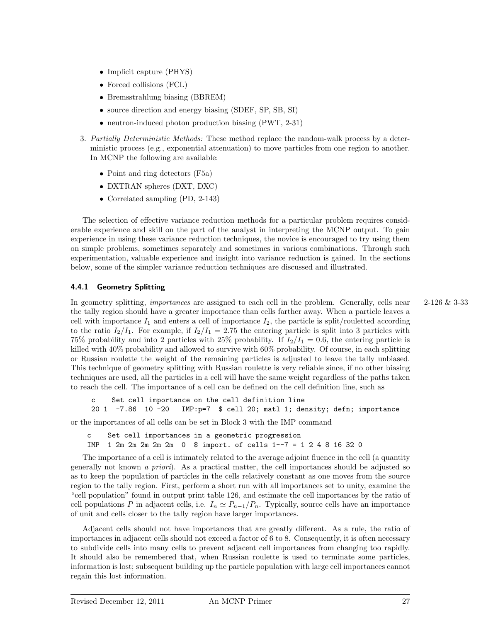- Implicit capture (PHYS)
- Forced collisions (FCL)
- Bremsstrahlung biasing (BBREM)
- source direction and energy biasing (SDEF, SP, SB, SI)
- neutron-induced photon production biasing (PWT, 2-31)
- 3. Partially Deterministic Methods: These method replace the random-walk process by a deterministic process (e.g., exponential attenuation) to move particles from one region to another. In MCNP the following are available:
	- Point and ring detectors (F5a)
	- DXTRAN spheres (DXT, DXC)
	- Correlated sampling (PD, 2-143)

The selection of effective variance reduction methods for a particular problem requires considerable experience and skill on the part of the analyst in interpreting the MCNP output. To gain experience in using these variance reduction techniques, the novice is encouraged to try using them on simple problems, sometimes separately and sometimes in various combinations. Through such experimentation, valuable experience and insight into variance reduction is gained. In the sections below, some of the simpler variance reduction techniques are discussed and illustrated.

# **4.4.1 Geometry Splitting**

In geometry splitting, *importances* are assigned to each cell in the problem. Generally, cells near  $2-126 \& 3-33$ the tally region should have a greater importance than cells farther away. When a particle leaves a cell with importance  $I_1$  and enters a cell of importance  $I_2$ , the particle is split/rouletted according to the ratio  $I_2/I_1$ . For example, if  $I_2/I_1 = 2.75$  the entering particle is split into 3 particles with 75% probability and into 2 particles with 25% probability. If  $I_2/I_1 = 0.6$ , the entering particle is killed with 40% probability and allowed to survive with 60% probability. Of course, in each splitting or Russian roulette the weight of the remaining particles is adjusted to leave the tally unbiased. This technique of geometry splitting with Russian roulette is very reliable since, if no other biasing techniques are used, all the particles in a cell will have the same weight regardless of the paths taken to reach the cell. The importance of a cell can be defined on the cell definition line, such as

c Set cell importance on the cell definition line 20 1 -7.86 10 -20 IMP:p=7 \$ cell 20; matl 1; density; defn; importance

or the importances of all cells can be set in Block 3 with the IMP command

c Set cell importances in a geometric progression IMP 1 2m 2m 2m 2m 2m 0 \$ import. of cells 1--7 = 1 2 4 8 16 32 0

The importance of a cell is intimately related to the average adjoint fluence in the cell (a quantity generally not known a priori). As a practical matter, the cell importances should be adjusted so as to keep the population of particles in the cells relatively constant as one moves from the source region to the tally region. First, perform a short run with all importances set to unity, examine the "cell population" found in output print table 126, and estimate the cell importances by the ratio of cell populations *P* in adjacent cells, i.e.  $I_n \simeq P_{n-1}/P_n$ . Typically, source cells have an importance of unit and cells closer to the tally region have larger importances.

Adjacent cells should not have importances that are greatly different. As a rule, the ratio of importances in adjacent cells should not exceed a factor of 6 to 8. Consequently, it is often necessary to subdivide cells into many cells to prevent adjacent cell importances from changing too rapidly. It should also be remembered that, when Russian roulette is used to terminate some particles, information is lost; subsequent building up the particle population with large cell importances cannot regain this lost information.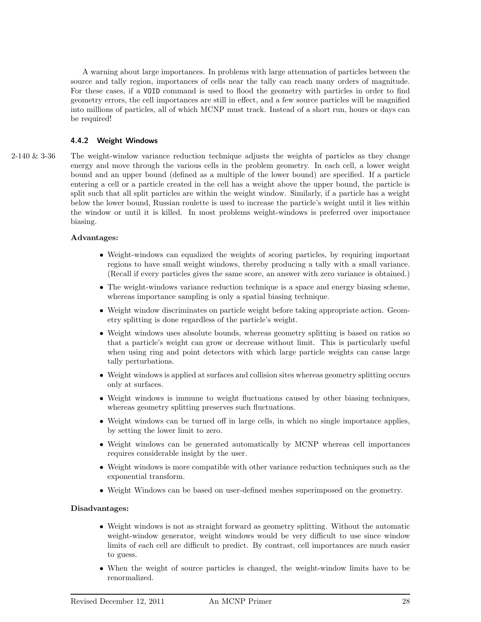A warning about large importances. In problems with large attenuation of particles between the source and tally region, importances of cells near the tally can reach many orders of magnitude. For these cases, if a VOID command is used to flood the geometry with particles in order to find geometry errors, the cell importances are still in effect, and a few source particles will be magnified into millions of particles, all of which MCNP must track. Instead of a short run, hours or days can be required!

# **4.4.2 Weight Windows**

2-140 & 3-36 The weight-window variance reduction technique adjusts the weights of particles as they change energy and move through the various cells in the problem geometry. In each cell, a lower weight bound and an upper bound (defined as a multiple of the lower bound) are specified. If a particle entering a cell or a particle created in the cell has a weight above the upper bound, the particle is split such that all split particles are within the weight window. Similarly, if a particle has a weight below the lower bound, Russian roulette is used to increase the particle's weight until it lies within the window or until it is killed. In most problems weight-windows is preferred over importance biasing.

# **Advantages:**

- Weight-windows can equalized the weights of scoring particles, by requiring important regions to have small weight windows, thereby producing a tally with a small variance. (Recall if every particles gives the same score, an answer with zero variance is obtained.)
- The weight-windows variance reduction technique is a space and energy biasing scheme, whereas importance sampling is only a spatial biasing technique.
- Weight window discriminates on particle weight before taking appropriate action. Geometry splitting is done regardless of the particle's weight.
- Weight windows uses absolute bounds, whereas geometry splitting is based on ratios so that a particle's weight can grow or decrease without limit. This is particularly useful when using ring and point detectors with which large particle weights can cause large tally perturbations.
- Weight windows is applied at surfaces and collision sites whereas geometry splitting occurs only at surfaces.
- Weight windows is immune to weight fluctuations caused by other biasing techniques, whereas geometry splitting preserves such fluctuations.
- Weight windows can be turned off in large cells, in which no single importance applies, by setting the lower limit to zero.
- Weight windows can be generated automatically by MCNP whereas cell importances requires considerable insight by the user.
- Weight windows is more compatible with other variance reduction techniques such as the exponential transform.
- Weight Windows can be based on user-defined meshes superimposed on the geometry.

# **Disadvantages:**

- Weight windows is not as straight forward as geometry splitting. Without the automatic weight-window generator, weight windows would be very difficult to use since window limits of each cell are difficult to predict. By contrast, cell importances are much easier to guess.
- When the weight of source particles is changed, the weight-window limits have to be renormalized.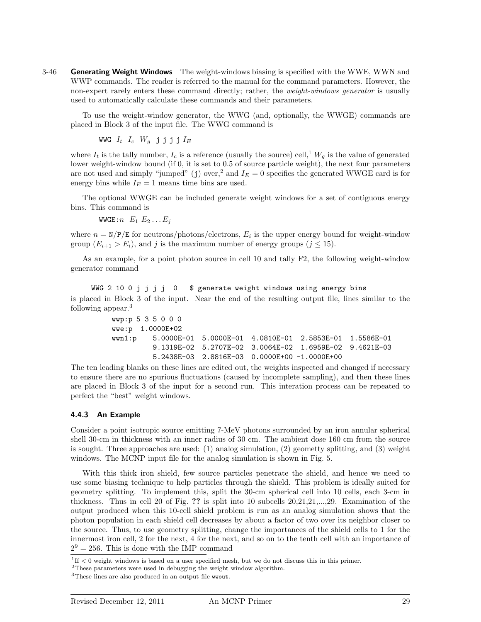3-46 **Generating Weight Windows** The weight-windows biasing is specified with the WWE, WWN and WWP commands. The reader is referred to the manual for the command parameters. However, the non-expert rarely enters these command directly; rather, the *weight-windows generator* is usually used to automatically calculate these commands and their parameters.

To use the weight-window generator, the WWG (and, optionally, the WWGE) commands are placed in Block 3 of the input file. The WWG command is

WWG  $I_t$   $I_c$   $W_q$  jjjj $I_E$ 

where  $I_t$  is the tally number,  $I_c$  is a reference (usually the source) cell,<sup>1</sup>  $W_g$  is the value of generated lower weight-window bound (if 0, it is set to 0.5 of source particle weight), the next four parameters are not used and simply "jumped" (j) over,<sup>2</sup> and  $I_E = 0$  specifies the generated WWGE card is for energy bins while  $I_E = 1$  means time bins are used.

The optional WWGE can be included generate weight windows for a set of contiguous energy bins. This command is

WWGE:  $n \quad E_1 \ E_2 \ldots E_j$ 

where  $n = N/P/E$  for neutrons/photons/electrons,  $E_i$  is the upper energy bound for weight-window group  $(E_{i+1} > E_i)$ , and *j* is the maximum number of energy groups  $(j \leq 15)$ .

As an example, for a point photon source in cell 10 and tally F2, the following weight-window generator command

WWG 2 10 0 j j j j 0 \$ generate weight windows using energy bins is placed in Block 3 of the input. Near the end of the resulting output file, lines similar to the following appear.<sup>3</sup>

```
wwp:p 5 3 5 0 0 0
wwe:p 1.0000E+02
wwn1:p 5.0000E-01 5.0000E-01 4.0810E-01 2.5853E-01 1.5586E-01
         9.1319E-02 5.2707E-02 3.0064E-02 1.6959E-02 9.4621E-03
         5.2438E-03 2.8816E-03 0.0000E+00 -1.0000E+00
```
The ten leading blanks on these lines are edited out, the weights inspected and changed if necessary to ensure there are no spurious fluctuations (caused by incomplete sampling), and then these lines are placed in Block 3 of the input for a second run. This interation process can be repeated to perfect the "best" weight windows.

# **4.4.3 An Example**

Consider a point isotropic source emitting 7-MeV photons surrounded by an iron annular spherical shell 30-cm in thickness with an inner radius of 30 cm. The ambient dose 160 cm from the source is sought. Three approaches are used: (1) analog simulation, (2) geometty splitting, and (3) weight windows. The MCNP input file for the analog simulation is shown in Fig. 5.

With this thick iron shield, few source particles penetrate the shield, and hence we need to use some biasing technique to help particles through the shield. This problem is ideally suited for geometry splitting. To implement this, split the 30-cm spherical cell into 10 cells, each 3-cm in thickness. Thus in cell 20 of Fig. **??** is split into 10 subcells 20,21,21,...,29. Examination of the output produced when this 10-cell shield problem is run as an analog simulation shows that the photon population in each shield cell decreases by about a factor of two over its neighbor closer to the source. Thus, to use geometry splitting, change the importances of the shield cells to 1 for the innermost iron cell, 2 for the next, 4 for the next, and so on to the tenth cell with an importance of  $2^9 = 256$ . This is done with the IMP command

 $1$ <sup>1</sup>If  $\leq$  0 weight windows is based on a user specified mesh, but we do not discuss this in this primer.

<sup>2</sup>These parameters were used in debugging the weight window algorithm.

<sup>3</sup>These lines are also produced in an output file wwout.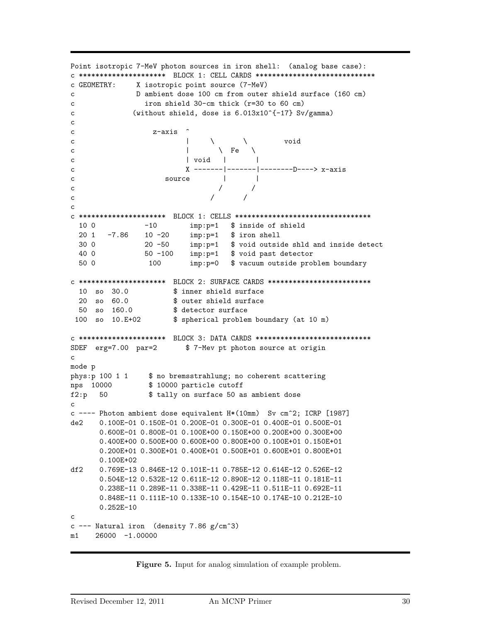```
Point isotropic 7-MeV photon sources in iron shell: (analog base case):
c ********************* BLOCK 1: CELL CARDS *****************************
c GEOMETRY: X isotropic point source (7-MeV)
c D ambient dose 100 cm from outer shield surface (160 cm)
c iron shield 30-cm thick (r=30 to 60 cm)
c (without shield, dose is 6.013x10^{-}{-17} Sv/gamma)
c
c z-axis ^
c \qquad \qquad | \qquad \backslash \qquad \qquad \text{void}c \qquad \qquad | \qquad \setminus \text{Fe} \quad \setminusc | void | |
c X -------|-------|--------D----> x-axis
c source | |
c // /
c // /
c
c ********************* BLOCK 1: CELLS *********************************
 10 0 -10 imp:p=1 $ inside of shield
 20 1 -7.86 10 -20 imp:p=1 $ iron shell
 30 0 20 -50 imp:p=1 $ void outside shld and inside detect
 40 0 50 -100 imp:p=1 $ void past detector
 50 0 100 imp:p=0 $ vacuum outside problem boundary
c ********************* BLOCK 2: SURFACE CARDS *************************
 10 so 30.0 $ inner shield surface
 20 so 60.0 $ outer shield surface
 50 so 160.0 $ detector surface
 100 so 10.E+02 $ spherical problem boundary (at 10 m)
c ********************* BLOCK 3: DATA CARDS ****************************
SDEF erg=7.00 par=2 $ 7-Mev pt photon source at origin
c
mode p
phys: p 100 1 1 $ no bremsstrahlung; no coherent scattering
nps 10000 $ 10000 particle cutoff
f2:p 50 $ tally on surface 50 as ambient dose
c
c ---- Photon ambient dose equivalent H*(10mm) Sv cm^2; ICRP [1987]
de2 0.100E-01 0.150E-01 0.200E-01 0.300E-01 0.400E-01 0.500E-01
      0.600E-01 0.800E-01 0.100E+00 0.150E+00 0.200E+00 0.300E+00
      0.400E+00 0.500E+00 0.600E+00 0.800E+00 0.100E+01 0.150E+01
      0.200E+01 0.300E+01 0.400E+01 0.500E+01 0.600E+01 0.800E+01
      0.100E+02
df2 0.769E-13 0.846E-12 0.101E-11 0.785E-12 0.614E-12 0.526E-12
      0.504E-12 0.532E-12 0.611E-12 0.890E-12 0.118E-11 0.181E-11
      0.238E-11 0.289E-11 0.338E-11 0.429E-11 0.511E-11 0.692E-11
      0.848E-11 0.111E-10 0.133E-10 0.154E-10 0.174E-10 0.212E-10
      0.252E-10
c
c --- Natural iron (density 7.86 g/cm<sup>2</sup>3)
m1 26000 -1.00000
```
**Figure 5.** Input for analog simulation of example problem.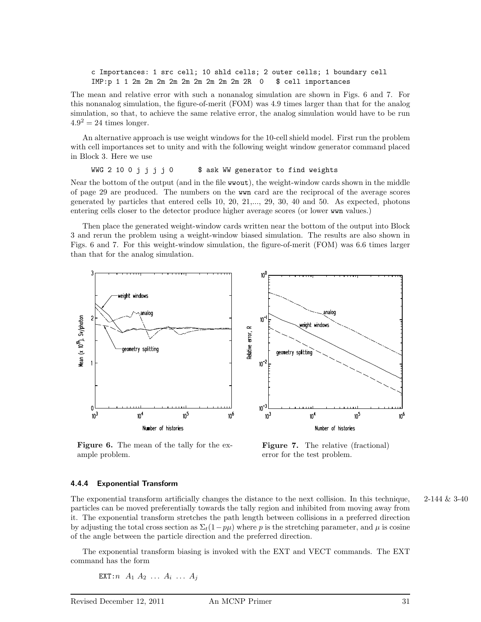c Importances: 1 src cell; 10 shld cells; 2 outer cells; 1 boundary cell IMP:p 1 1 2m 2m 2m 2m 2m 2m 2m 2m 2m 2R 0 \$ cell importances

The mean and relative error with such a nonanalog simulation are shown in Figs. 6 and 7. For this nonanalog simulation, the figure-of-merit (FOM) was 4.9 times larger than that for the analog simulation, so that, to achieve the same relative error, the analog simulation would have to be run  $4.9<sup>2</sup> = 24$  times longer.

An alternative approach is use weight windows for the 10-cell shield model. First run the problem with cell importances set to unity and with the following weight window generator command placed in Block 3. Here we use

WWG 2 10 0 j j j j 0 \$ ask WW generator to find weights

Near the bottom of the output (and in the file wwout), the weight-window cards shown in the middle of page 29 are produced. The numbers on the wwn card are the reciprocal of the average scores generated by particles that entered cells 10, 20, 21,..., 29, 30, 40 and 50. As expected, photons entering cells closer to the detector produce higher average scores (or lower wwn values.)

Then place the generated weight-window cards written near the bottom of the output into Block 3 and rerun the problem using a weight-window biased simulation. The results are also shown in Figs. 6 and 7. For this weight-window simulation, the figure-of-merit (FOM) was 6.6 times larger than that for the analog simulation.



**Figure 6.** The mean of the tally for the example problem.



#### **4.4.4 Exponential Transform**

The exponential transform artificially changes the distance to the next collision. In this technique,  $2-144 \& 3-40$ particles can be moved preferentially towards the tally region and inhibited from moving away from it. The exponential transform stretches the path length between collisions in a preferred direction by adjusting the total cross section as  $\Sigma_t(1-p\mu)$  where *p* is the stretching parameter, and  $\mu$  is cosine of the angle between the particle direction and the preferred direction.

The exponential transform biasing is invoked with the EXT and VECT commands. The EXT command has the form

EXT:  $n A_1 A_2 ... A_i ... A_j$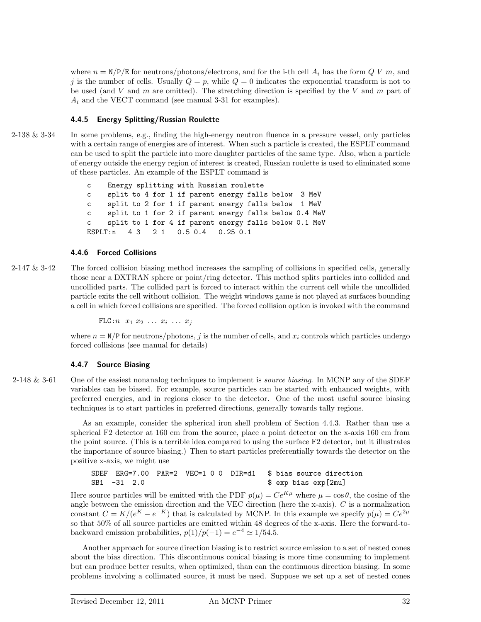where  $n = N/P/E$  for neutrons/photons/electrons, and for the i-th cell  $A_i$  has the form  $QV$  m, and *j* is the number of cells. Usually  $Q = p$ , while  $Q = 0$  indicates the exponential transform is not to be used (and *V* and *m* are omitted). The stretching direction is specified by the *V* and *m* part of *A<sup>i</sup>* and the VECT command (see manual 3-31 for examples).

# **4.4.5 Energy Splitting/Russian Roulette**

2-138 & 3-34 In some problems, e.g., finding the high-energy neutron fluence in a pressure vessel, only particles with a certain range of energies are of interest. When such a particle is created, the ESPLT command can be used to split the particle into more daughter particles of the same type. Also, when a particle of energy outside the energy region of interest is created, Russian roulette is used to eliminated some of these particles. An example of the ESPLT command is

> c Energy splitting with Russian roulette c split to 4 for 1 if parent energy falls below 3 MeV c split to 2 for 1 if parent energy falls below 1 MeV c split to 1 for 2 if parent energy falls below 0.4 MeV c split to 1 for 4 if parent energy falls below 0.1 MeV ESPLT:n 4 3 2 1 0.5 0.4 0.25 0.1

#### **4.4.6 Forced Collisions**

2-147 & 3-42 The forced collision biasing method increases the sampling of collisions in specified cells, generally those near a DXTRAN sphere or point/ring detector. This method splits particles into collided and uncollided parts. The collided part is forced to interact within the current cell while the uncollided particle exits the cell without collision. The weight windows game is not played at surfaces bounding a cell in which forced collisions are specified. The forced collision option is invoked with the command

 $FLC: n \ x_1 \ x_2 \ \ldots \ x_i \ \ldots \ x_j$ 

where  $n = N/P$  for neutrons/photons, *j* is the number of cells, and  $x_i$  controls which particles undergo forced collisions (see manual for details)

#### **4.4.7 Source Biasing**

2-148 & 3-61 One of the easiest nonanalog techniques to implement is *source biasing*. In MCNP any of the SDEF variables can be biased. For example, source particles can be started with enhanced weights, with preferred energies, and in regions closer to the detector. One of the most useful source biasing techniques is to start particles in preferred directions, generally towards tally regions.

> As an example, consider the spherical iron shell problem of Section 4.4.3. Rather than use a spherical F2 detector at 160 cm from the source, place a point detector on the x-axis 160 cm from the point source. (This is a terrible idea compared to using the surface F2 detector, but it illustrates the importance of source biasing.) Then to start particles preferentially towards the detector on the positive x-axis, we might use

SDEF ERG=7.00 PAR=2 VEC=1 0 0 DIR=d1 \$ bias source direction SB1 -31 2.0 \$ exp bias exp[2mu]

Here source particles will be emitted with the PDF  $p(\mu) = Ce^{K\mu}$  where  $\mu = \cos \theta$ , the cosine of the angle between the emission direction and the VEC direction (here the x-axis). *C* is a normalization constant  $C = K/(e^K - e^{-K})$  that is calculated by MCNP. In this example we specify  $p(\mu) = Ce^{2\mu}$ so that 50% of all source particles are emitted within 48 degrees of the x-axis. Here the forward-tobackward emission probabilities,  $p(1)/p(-1) = e^{-4} \approx 1/54.5$ .

Another approach for source direction biasing is to restrict source emission to a set of nested cones about the bias direction. This discontinuous conical biasing is more time consuming to implement but can produce better results, when optimized, than can the continuous direction biasing. In some problems involving a collimated source, it must be used. Suppose we set up a set of nested cones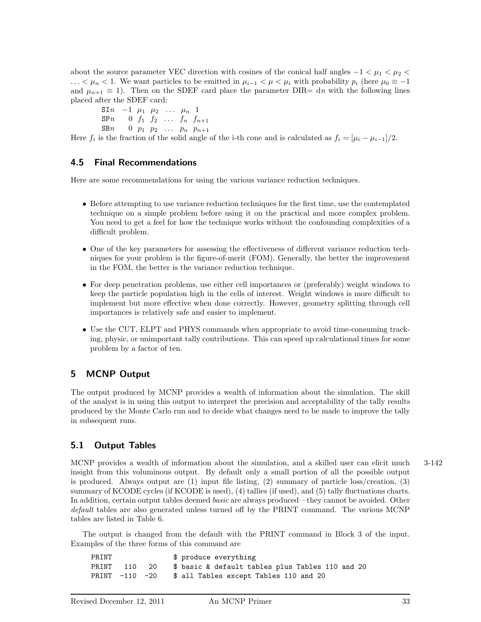about the source parameter VEC direction with cosines of the conical half angles  $-1 < \mu_1 < \mu_2 <$ *...*  $\lt \mu_n$   $\lt$  1. We want particles to be emitted in  $\mu_{i-1}$   $\lt \mu \lt \mu_i$  with probability  $p_i$  (here  $\mu_0$  ≡ −1 and  $\mu_{n+1} \equiv 1$ ). Then on the SDEF card place the parameter DIR= dn with the following lines placed after the SDEF card:

 $\sin \theta = 1$  *µ*<sub>1</sub> *µ*<sub>2</sub> *... µ*<sub>*n*</sub> 1  $SPn \t 0 \t f_1 \t f_2 \t ... \t f_n \t f_{n+1}$ SBn 0  $p_1$   $p_2$   $\ldots$   $p_n$   $p_{n+1}$ 

Here  $f_i$  is the fraction of the solid angle of the i-th cone and is calculated as  $f_i = [\mu_i - \mu_{i-1}]/2$ .

# **4.5 Final Recommendations**

Here are some recommendations for using the various variance reduction techniques.

- Before attempting to use variance reduction techniques for the first time, use the contemplated technique on a simple problem before using it on the practical and more complex problem. You need to get a feel for how the technique works without the confounding complexities of a difficult problem.
- One of the key parameters for assessing the effectiveness of different variance reduction techniques for your problem is the figure-of-merit (FOM). Generally, the better the improvement in the FOM, the better is the variance reduction technique.
- For deep penetration problems, use either cell importances or (preferably) weight windows to keep the particle population high in the cells of interest. Weight windows is more difficult to implement but more effective when done correctly. However, geometry splitting through cell importances is relatively safe and easier to implement.
- Use the CUT, ELPT and PHYS commands when appropriate to avoid time-consuming tracking, physic, or unimportant tally contributions. This can speed up calculational times for some problem by a factor of ten.

# **5 MCNP Output**

The output produced by MCNP provides a wealth of information about the simulation. The skill of the analyst is in using this output to interpret the precision and acceptability of the tally results produced by the Monte Carlo run and to decide what changes need to be made to improve the tally in subsequent runs.

# **5.1 Output Tables**

MCNP provides a wealth of information about the simulation, and a skilled user can elicit much 3-142 insight from this voluminous output. By default only a small portion of all the possible output is produced. Always output are (1) input file listing, (2) summary of particle loss/creation, (3) summary of KCODE cycles (if KCODE is used), (4) tallies (if used), and (5) tally fluctuations charts. In addition, certain output tables deemed basic are always produced—they cannot be avoided. Other default tables are also generated unless turned off by the PRINT command. The various MCNP tables are listed in Table 6.

The output is changed from the default with the PRINT command in Block 3 of the input. Examples of the three forms of this command are

PRINT  $\qquad \qquad$  \$ produce everything PRINT 110 20 \$ basic & default tables plus Tables 110 and 20 PRINT -110 -20 \$ all Tables except Tables 110 and 20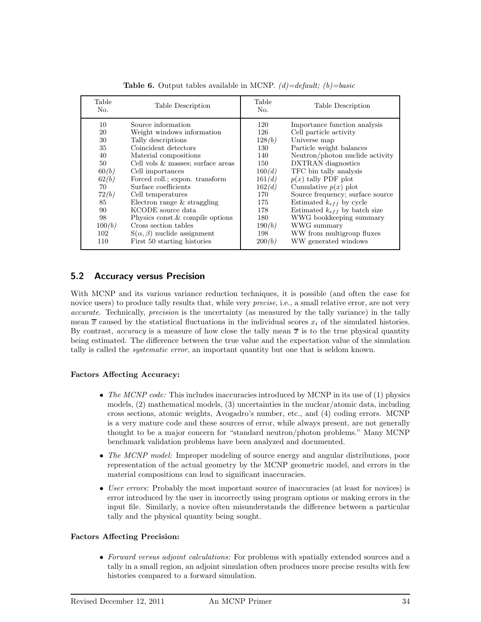| Table<br>No.    | Table Description                     | Table<br>No. | Table Description                 |
|-----------------|---------------------------------------|--------------|-----------------------------------|
| 10              | Source information                    | 120          | Importance function analysis      |
| 20              | Weight windows information            | 126          | Cell particle activity            |
| 30              | Tally descriptions                    | 128(b)       | Universe map                      |
| 35              | Coincident detectors                  | 130          | Particle weight balances          |
| 40              | Material compositions                 | 140          | Neutron/photon nuclide activity   |
| 50 <sup>°</sup> | Cell vols & masses; surface areas     | 150          | <b>DXTRAN</b> diagnostics         |
| 60(b)           | Cell importances                      | 160(d)       | TFC bin tally analysis            |
| 62(b)           | Forced coll.; expon. transform        | 161(d)       | $p(x)$ tally PDF plot             |
| 70              | Surface coefficients                  | 162(d)       | Cumulative $p(x)$ plot            |
| 72(b)           | Cell temperatures                     | 170          | Source frequency; surface source  |
| 85              | Electron range $&$ straggling         | 175          | Estimated $k_{eff}$ by cycle      |
| 90              | KCODE source data                     | 178          | Estimated $k_{eff}$ by batch size |
| 98              | Physics const. & compile options      | 180          | WWG bookkeeping summary           |
| 100(b)          | Cross section tables                  | 190(b)       | WWG summary                       |
| 102             | $S(\alpha, \beta)$ nuclide assignment | 198          | WW from multigroup fluxes         |
| 110             | First 50 starting histories           | 200(b)       | WW generated windows              |

**Table 6.** Output tables available in MCNP.  $(d) = default$ ;  $(b) = basic$ 

# **5.2 Accuracy versus Precision**

With MCNP and its various variance reduction techniques, it is possible (and often the case for novice users) to produce tally results that, while very *precise*, i.e., a small relative error, are not very accurate. Technically, precision is the uncertainty (as measured by the tally variance) in the tally mean  $\bar{x}$  caused by the statistical fluctuations in the individual scores  $x_i$  of the simulated histories. By contrast, *accuracy* is a measure of how close the tally mean  $\bar{x}$  is to the true physical quantity being estimated. The difference between the true value and the expectation value of the simulation tally is called the *systematic error*, an important quantity but one that is seldom known.

# **Factors Affecting Accuracy:**

- The MCNP code: This includes inaccuracies introduced by MCNP in its use of  $(1)$  physics models, (2) mathematical models, (3) uncertainties in the nuclear/atomic data, including cross sections, atomic weights, Avogadro's number, etc., and (4) coding errors. MCNP is a very mature code and these sources of error, while always present, are not generally thought to be a major concern for "standard neutron/photon problems." Many MCNP benchmark validation problems have been analyzed and documented.
- The MCNP model: Improper modeling of source energy and angular distributions, poor representation of the actual geometry by the MCNP geometric model, and errors in the material compositions can lead to significant inaccuracies.
- User errors: Probably the most important source of inaccuracies (at least for novices) is error introduced by the user in incorrectly using program options or making errors in the input file. Similarly, a novice often misunderstands the difference between a particular tally and the physical quantity being sought.

# **Factors Affecting Precision:**

• Forward versus adjoint calculations: For problems with spatially extended sources and a tally in a small region, an adjoint simulation often produces more precise results with few histories compared to a forward simulation.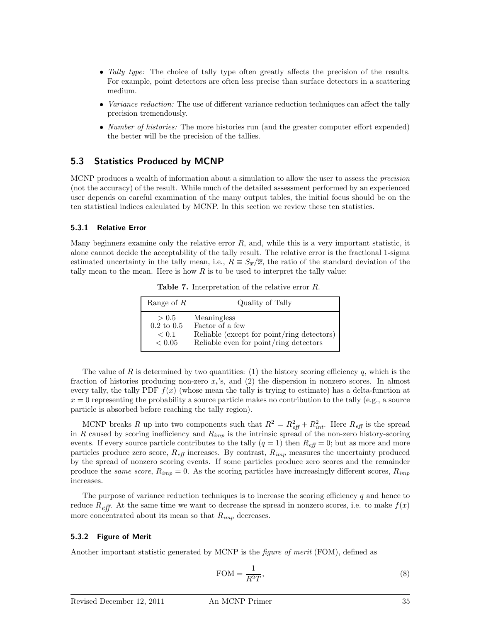- Tally type: The choice of tally type often greatly affects the precision of the results. For example, point detectors are often less precise than surface detectors in a scattering medium.
- *Variance reduction:* The use of different variance reduction techniques can affect the tally precision tremendously.
- *Number of histories:* The more histories run (and the greater computer effort expended) the better will be the precision of the tallies.

# **5.3 Statistics Produced by MCNP**

MCNP produces a wealth of information about a simulation to allow the user to assess the *precision* (not the accuracy) of the result. While much of the detailed assessment performed by an experienced user depends on careful examination of the many output tables, the initial focus should be on the ten statistical indices calculated by MCNP. In this section we review these ten statistics.

#### **5.3.1 Relative Error**

Many beginners examine only the relative error *R*, and, while this is a very important statistic, it alone cannot decide the acceptability of the tally result. The relative error is the fractional 1-sigma estimated uncertainty in the tally mean, i.e.,  $R = S_{\overline{x}}/\overline{x}$ , the ratio of the standard deviation of the tally mean to the mean. Here is how *R* is to be used to interpret the tally value:

**Table 7.** Interpretation of the relative error *R*.

| Range of $R$          | Quality of Tally                           |
|-----------------------|--------------------------------------------|
| > 0.5                 | Meaningless                                |
| $0.2 \text{ to } 0.5$ | Factor of a few                            |
| < 0.1                 | Reliable (except for point/ring detectors) |
| < 0.05                | Reliable even for point/ring detectors     |

The value of *R* is determined by two quantities: (1) the history scoring efficiency  $q$ , which is the fraction of histories producing non-zero *xi*'s, and (2) the dispersion in nonzero scores. In almost every tally, the tally PDF  $f(x)$  (whose mean the tally is trying to estimate) has a delta-function at  $x = 0$  representing the probability a source particle makes no contribution to the tally (e.g., a source particle is absorbed before reaching the tally region).

MCNP breaks *R* up into two components such that  $R^2 = R_{\text{eff}}^2 + R_{\text{int}}^2$ . Here  $R_{\text{eff}}$  is the spread in *R* caused by scoring inefficiency and  $R_{imp}$  is the intrinsic spread of the non-zero history-scoring events. If every source particle contributes to the tally  $(q = 1)$  then  $R_{\text{eff}} = 0$ ; but as more and more particles produce zero score,  $R_{\text{eff}}$  increases. By contrast,  $R_{\text{imp}}$  measures the uncertainty produced by the spread of nonzero scoring events. If some particles produce zero scores and the remainder produce the *same score*,  $R_{imn} = 0$ . As the scoring particles have increasingly different scores,  $R_{imn}$ increases.

The purpose of variance reduction techniques is to increase the scoring efficiency *q* and hence to reduce  $R_{eff}$ . At the same time we want to decrease the spread in nonzero scores, i.e. to make  $f(x)$ more concentrated about its mean so that  $R_{imp}$  decreases.

#### **5.3.2 Figure of Merit**

Another important statistic generated by MCNP is the figure of merit (FOM), defined as

$$
\text{FOM} = \frac{1}{R^2 T},\tag{8}
$$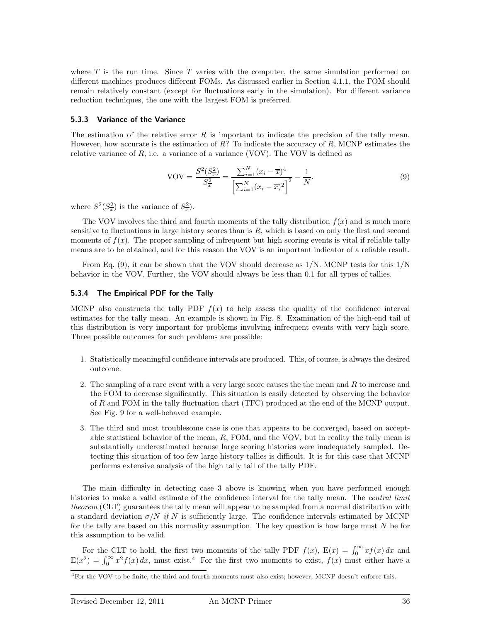where  $T$  is the run time. Since  $T$  varies with the computer, the same simulation performed on different machines produces different FOMs. As discussed earlier in Section 4.1.1, the FOM should remain relatively constant (except for fluctuations early in the simulation). For different variance reduction techniques, the one with the largest FOM is preferred.

# **5.3.3 Variance of the Variance**

The estimation of the relative error *R* is important to indicate the precision of the tally mean. However, how accurate is the estimation of *R*? To indicate the accuracy of *R*, MCNP estimates the relative variance of  $R$ , i.e. a variance of a variance (VOV). The VOV is defined as

$$
VOV = \frac{S^2(S_{\overline{x}}^2)}{S_{\overline{x}}^2} = \frac{\sum_{i=1}^N (x_i - \overline{x})^4}{\left[\sum_{i=1}^N (x_i - \overline{x})^2\right]^2} - \frac{1}{N}.
$$
\n(9)

where  $S^2(S_x^2)$  is the variance of  $S_x^2$ ).

The VOV involves the third and fourth moments of the tally distribution  $f(x)$  and is much more sensitive to fluctuations in large history scores than is *R*, which is based on only the first and second moments of  $f(x)$ . The proper sampling of infrequent but high scoring events is vital if reliable tally means are to be obtained, and for this reason the VOV is an important indicator of a reliable result.

From Eq.  $(9)$ , it can be shown that the VOV should decrease as  $1/N$ . MCNP tests for this  $1/N$ behavior in the VOV. Further, the VOV should always be less than 0.1 for all types of tallies.

# **5.3.4 The Empirical PDF for the Tally**

MCNP also constructs the tally PDF  $f(x)$  to help assess the quality of the confidence interval estimates for the tally mean. An example is shown in Fig. 8. Examination of the high-end tail of this distribution is very important for problems involving infrequent events with very high score. Three possible outcomes for such problems are possible:

- 1. Statistically meaningful confidence intervals are produced. This, of course, is always the desired outcome.
- 2. The sampling of a rare event with a very large score causes the the mean and *R* to increase and the FOM to decrease significantly. This situation is easily detected by observing the behavior of *R* and FOM in the tally fluctuation chart (TFC) produced at the end of the MCNP output. See Fig. 9 for a well-behaved example.
- 3. The third and most troublesome case is one that appears to be converged, based on acceptable statistical behavior of the mean, *R*, FOM, and the VOV, but in reality the tally mean is substantially underestimated because large scoring histories were inadequately sampled. Detecting this situation of too few large history tallies is difficult. It is for this case that MCNP performs extensive analysis of the high tally tail of the tally PDF.

The main difficulty in detecting case 3 above is knowing when you have performed enough histories to make a valid estimate of the confidence interval for the tally mean. The *central limit* theorem (CLT) guarantees the tally mean will appear to be sampled from a normal distribution with a standard deviation  $\sigma/N$  if N is sufficiently large. The confidence intervals estimated by MCNP for the tally are based on this normality assumption. The key question is how large must *N* be for this assumption to be valid.

For the CLT to hold, the first two moments of the tally PDF  $f(x)$ ,  $E(x) = \int_0^\infty x f(x) dx$  and  $E(x^2) = \int_0^\infty x^2 f(x) dx$ , must exist.<sup>4</sup> For the first two moments to exist,  $f(x)$  must either have a

<sup>4</sup>For the VOV to be finite, the third and fourth moments must also exist; however, MCNP doesn't enforce this.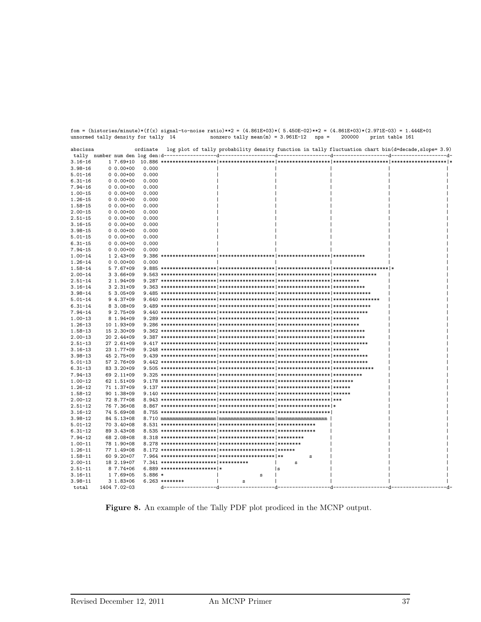| abscissa    |               | ordinate |                                       |             |                        | log plot of tally probability density function in tally fluctuation chart bin(d=decade, slope= 3.9) |  |
|-------------|---------------|----------|---------------------------------------|-------------|------------------------|-----------------------------------------------------------------------------------------------------|--|
|             |               |          |                                       |             |                        |                                                                                                     |  |
| $3.16 - 16$ | 1 7.69+10     |          |                                       |             |                        |                                                                                                     |  |
| $3.98 - 16$ | $0.00+00$     | 0.000    |                                       |             |                        |                                                                                                     |  |
| $5.01 - 16$ | $0.00+00$     | 0.000    |                                       |             |                        |                                                                                                     |  |
| $6.31 - 16$ | $0.00+00$     | 0.000    |                                       |             |                        |                                                                                                     |  |
| $7.94 - 16$ | $0.00+00$     | 0.000    |                                       |             |                        |                                                                                                     |  |
| $1.00 - 15$ | $0.00+00$     | 0.000    |                                       |             |                        |                                                                                                     |  |
| $1.26 - 15$ | $0.00+00$     | 0.000    |                                       |             |                        |                                                                                                     |  |
| $1.58 - 15$ | $0.00+00$     | 0.000    |                                       |             |                        |                                                                                                     |  |
| $2.00 - 15$ | $0.00+00$     | 0.000    |                                       |             |                        |                                                                                                     |  |
| $2.51 - 15$ | $0.00+00$     | 0.000    |                                       |             |                        |                                                                                                     |  |
| $3.16 - 15$ | $0.00+00$     | 0.000    |                                       |             |                        |                                                                                                     |  |
| $3.98 - 15$ | $0.00+00$     | 0.000    |                                       |             |                        |                                                                                                     |  |
| $5.01 - 15$ | $0.00+00$     | 0.000    |                                       |             |                        |                                                                                                     |  |
| $6.31 - 15$ | $0.00+00$     | 0.000    |                                       |             |                        |                                                                                                     |  |
| $7.94 - 15$ | $0.00+00$     | 0.000    |                                       |             |                        |                                                                                                     |  |
| $1.00 - 14$ | $12.43+09$    |          |                                       |             |                        |                                                                                                     |  |
| $1.26 - 14$ | $0.00+00$     | 0.000    |                                       |             |                        |                                                                                                     |  |
| 1.58-14     | $57.67+09$    |          |                                       |             |                        |                                                                                                     |  |
| $2.00 - 14$ | $3.66 + 09$   |          |                                       |             |                        |                                                                                                     |  |
| $2.51 - 14$ | $2 1.94 + 09$ |          |                                       |             |                        |                                                                                                     |  |
| $3.16 - 14$ | $32.31+09$    |          |                                       |             |                        |                                                                                                     |  |
| $3.98 - 14$ | $53.05+09$    |          |                                       |             |                        |                                                                                                     |  |
| $5.01 - 14$ | $94.37+09$    |          |                                       |             |                        |                                                                                                     |  |
| $6.31 - 14$ | $83.08 + 09$  |          |                                       |             |                        |                                                                                                     |  |
| $7.94 - 14$ | $92.75+09$    |          |                                       |             |                        |                                                                                                     |  |
| $1.00 - 13$ | 8 1.94+09     |          |                                       |             |                        |                                                                                                     |  |
| $1.26 - 13$ | 10 1.93+09    |          |                                       |             |                        |                                                                                                     |  |
| 1.58-13     | 15 2.30+09    |          |                                       |             |                        |                                                                                                     |  |
| $2.00 - 13$ | 20 2.44+09    |          |                                       |             |                        |                                                                                                     |  |
| $2.51 - 13$ | 27 2.61+09    |          |                                       |             |                        |                                                                                                     |  |
| $3.16 - 13$ | 23 1.77+09    |          |                                       |             |                        |                                                                                                     |  |
| $3.98 - 13$ | 45 2.75+09    |          |                                       |             |                        |                                                                                                     |  |
| $5.01 - 13$ | 57 2.76+09    |          |                                       |             |                        |                                                                                                     |  |
| $6.31 - 13$ | 83 3.20+09    |          |                                       |             |                        |                                                                                                     |  |
| $7.94 - 13$ | 69 2.11+09    |          |                                       |             |                        |                                                                                                     |  |
| $1.00 - 12$ | 62 1.51+09    |          |                                       |             |                        |                                                                                                     |  |
| $1.26 - 12$ | 71 1.37+09    |          |                                       |             |                        |                                                                                                     |  |
| $1.58 - 12$ | 90 1.38+09    |          |                                       |             |                        |                                                                                                     |  |
| $2.00 - 12$ | 72 8.77+08    |          |                                       |             |                        |                                                                                                     |  |
| $2.51 - 12$ | 76 7.36+08    |          |                                       |             |                        |                                                                                                     |  |
| $3.16 - 12$ | 74 5.69+08    |          |                                       |             |                        |                                                                                                     |  |
| $3.98 - 12$ | 84 5.13+08    |          |                                       |             |                        |                                                                                                     |  |
| $5.01 - 12$ | 70 3.40+08    |          |                                       |             |                        |                                                                                                     |  |
| $6.31 - 12$ | 89 3.43+08    |          |                                       |             |                        |                                                                                                     |  |
|             |               |          |                                       |             |                        |                                                                                                     |  |
| $7.94 - 12$ | 68 2.08+08    |          |                                       |             |                        |                                                                                                     |  |
| $1.00 - 11$ | 78 1.90+08    |          |                                       |             |                        |                                                                                                     |  |
| $1.26 - 11$ | 77 1.49+08    |          |                                       |             |                        |                                                                                                     |  |
| $1.58 - 11$ | 60 9.20+07    |          |                                       |             | s                      |                                                                                                     |  |
| $2.00 - 11$ | 18 2.19+07    |          | 7.341 ******************** ********** |             | s                      |                                                                                                     |  |
| $2.51 - 11$ | 8 7.74+06     |          | 6.889 *********************  *        |             | l s                    |                                                                                                     |  |
| $3.16 - 11$ | 1 7.69+05     | $5.886*$ |                                       | s           |                        |                                                                                                     |  |
| $3.98 - 11$ | $31.83+06$    |          | 6.263 ********                        | т.<br>s     |                        |                                                                                                     |  |
| total       | 1404 7.02-03  |          | d-------------------d--------         | ---------d- | --------------d------- | -d-                                                                                                 |  |

fom = (histories/minute)\*(f(x) signal-to-noise ratio)\*\*2 = (4.861E+03)\*( 5.450E-02)\*\*2 = (4.861E+03)\*(2.971E-03) = 1.444E+01 unnormed tally density for tally 14 nonzero tally mean(m) = 3.961E-12 nps = 200000 print table 161

**Figure 8.** An example of the Tally PDF plot prodiced in the MCNP output.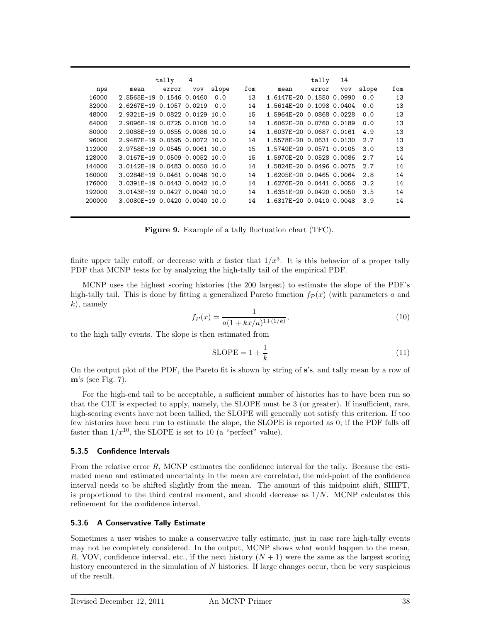|        |                               | tally | 4   |       |     |                          | tally | 14  |       |     |
|--------|-------------------------------|-------|-----|-------|-----|--------------------------|-------|-----|-------|-----|
| nps    | mean                          | error | vov | slope | fom | mean                     | error | vov | slope | fom |
| 16000  | 2.5565E-19 0.1546 0.0460      |       |     | 0.0   | 13  | 1.6147E-20 0.1550 0.0990 |       |     | 0.0   | 13  |
| 32000  | 2.6267E-19 0.1057 0.0219      |       |     | 0.0   | 14  | 1.5614E-20 0.1098 0.0404 |       |     | 0.0   | 13  |
| 48000  | 2.9321F-19 0.0822 0.0129 10.0 |       |     |       | 15  | 1.5964E-20 0.0868 0.0228 |       |     | 0.0   | 13  |
| 64000  | 2.9096E-19 0.0725 0.0108 10.0 |       |     |       | 14  | 1.6062E-20 0.0760 0.0189 |       |     | 0.0   | 13  |
| 80000  | 2.9088E-19 0.0655 0.0086 10.0 |       |     |       | 14  | 1.6037E-20 0.0687 0.0161 |       |     | 4.9   | 13  |
| 96000  | 2.9487F-19 0.0595 0.0072 10.0 |       |     |       | 14  | 1.5578E-20 0.0631 0.0130 |       |     | 2.7   | 13  |
| 112000 | 2.9758E-19 0.0545 0.0061 10.0 |       |     |       | 15  | 1.5749E-20 0.0571 0.0105 |       |     | 3.0   | 13  |
| 128000 | 3.0167E-19 0.0509 0.0052 10.0 |       |     |       | 15  | 1.5970E-20 0.0528 0.0086 |       |     | 2.7   | 14  |
| 144000 | 3.0142F-19 0.0483 0.0050 10.0 |       |     |       | 14  | 1.5824E-20 0.0496 0.0075 |       |     | 2.7   | 14  |
| 160000 | 3.0284E-19 0.0461 0.0046 10.0 |       |     |       | 14  | 1.6205E-20 0.0465 0.0064 |       |     | 2.8   | 14  |
| 176000 | 3.0391E-19 0.0443 0.0042 10.0 |       |     |       | 14  | 1.6276E-20 0.0441 0.0056 |       |     | 3.2   | 14  |
| 192000 | 3.0143E-19 0.0427 0.0040 10.0 |       |     |       | 14  | 1.6351E-20 0.0420 0.0050 |       |     | 3.5   | 14  |
| 200000 | 3.0080E-19 0.0420 0.0040 10.0 |       |     |       | 14  | 1.6317E-20 0.0410 0.0048 |       |     | 3.9   | 14  |

**Figure 9.** Example of a tally fluctuation chart (TFC).

finite upper tally cutoff, or decrease with x faster that  $1/x^3$ . It is this behavior of a proper tally PDF that MCNP tests for by analyzing the high-tally tail of the empirical PDF.

MCNP uses the highest scoring histories (the 200 largest) to estimate the slope of the PDF's high-tally tail. This is done by fitting a generalized Pareto function  $f_{\mathcal{P}}(x)$  (with parameters *a* and *k*), namely

$$
f_{\mathcal{P}}(x) = \frac{1}{a(1 + kx/a)^{1 + (1/k)}},\tag{10}
$$

to the high tally events. The slope is then estimated from

$$
SLOPE = 1 + \frac{1}{k}
$$
 (11)

On the output plot of the PDF, the Pareto fit is shown by string of **s**'s, and tally mean by a row of **m**'s (see Fig. 7).

For the high-end tail to be acceptable, a sufficient number of histories has to have been run so that the CLT is expected to apply, namely, the SLOPE must be 3 (or greater). If insufficient, rare, high-scoring events have not been tallied, the SLOPE will generally not satisfy this criterion. If too few histories have been run to estimate the slope, the SLOPE is reported as 0; if the PDF falls off faster than  $1/x^{10}$ , the SLOPE is set to 10 (a "perfect" value).

# **5.3.5 Confidence Intervals**

From the relative error *R*, MCNP estimates the confidence interval for the tally. Because the estimated mean and estimated uncertainty in the mean are correlated, the mid-point of the confidence interval needs to be shifted slightly from the mean. The amount of this midpoint shift, SHIFT, is proportional to the third central moment, and should decrease as 1*/N*. MCNP calculates this refinement for the confidence interval.

# **5.3.6 A Conservative Tally Estimate**

Sometimes a user wishes to make a conservative tally estimate, just in case rare high-tally events may not be completely considered. In the output, MCNP shows what would happen to the mean, *R*, VOV, confidence interval, etc., if the next history  $(N + 1)$  were the same as the largest scoring history encountered in the simulation of *N* histories. If large changes occur, then be very suspicious of the result.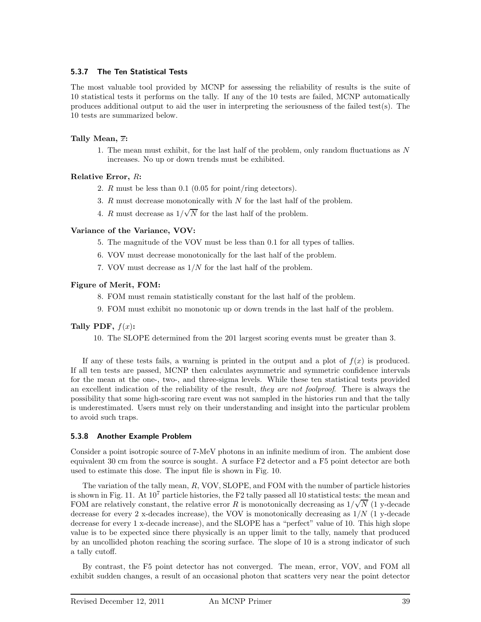# **5.3.7 The Ten Statistical Tests**

The most valuable tool provided by MCNP for assessing the reliability of results is the suite of 10 statistical tests it performs on the tally. If any of the 10 tests are failed, MCNP automatically produces additional output to aid the user in interpreting the seriousness of the failed test(s). The 10 tests are summarized below.

# **Tally Mean,** *x***:**

1. The mean must exhibit, for the last half of the problem, only random fluctuations as *N* increases. No up or down trends must be exhibited.

# **Relative Error,** *R***:**

- 2. *R* must be less than 0.1 (0.05 for point/ring detectors).
- 3. *R* must decrease monotonically with *N* for the last half of the problem.
- 4. *R* must decrease as  $1/\sqrt{N}$  for the last half of the problem.

# **Variance of the Variance, VOV:**

- 5. The magnitude of the VOV must be less than 0.1 for all types of tallies.
- 6. VOV must decrease monotonically for the last half of the problem.
- 7. VOV must decrease as 1*/N* for the last half of the problem.

# **Figure of Merit, FOM:**

- 8. FOM must remain statistically constant for the last half of the problem.
- 9. FOM must exhibit no monotonic up or down trends in the last half of the problem.

# **Tally PDF,**  $f(x)$ :

10. The SLOPE determined from the 201 largest scoring events must be greater than 3.

If any of these tests fails, a warning is printed in the output and a plot of  $f(x)$  is produced. If all ten tests are passed, MCNP then calculates asymmetric and symmetric confidence intervals for the mean at the one-, two-, and three-sigma levels. While these ten statistical tests provided an excellent indication of the reliability of the result, they are not foolproof. There is always the possibility that some high-scoring rare event was not sampled in the histories run and that the tally is underestimated. Users must rely on their understanding and insight into the particular problem to avoid such traps.

# **5.3.8 Another Example Problem**

Consider a point isotropic source of 7-MeV photons in an infinite medium of iron. The ambient dose equivalent 30 cm from the source is sought. A surface F2 detector and a F5 point detector are both used to estimate this dose. The input file is shown in Fig. 10.

The variation of the tally mean, *R*, VOV, SLOPE, and FOM with the number of particle histories is shown in Fig. 11. At  $10^7$  particle histories, the F2 tally passed all 10 statistical tests: the mean and FOM are relatively constant, the relative error *R* is monotonically decreasing as  $1/\sqrt{N}$  (1 y-decade decrease for every 2 x-decades increase), the VOV is monotonically decreasing as 1*/N* (1 y-decade decrease for every 1 x-decade increase), and the SLOPE has a "perfect" value of 10. This high slope value is to be expected since there physically is an upper limit to the tally, namely that produced by an uncollided photon reaching the scoring surface. The slope of 10 is a strong indicator of such a tally cutoff.

By contrast, the F5 point detector has not converged. The mean, error, VOV, and FOM all exhibit sudden changes, a result of an occasional photon that scatters very near the point detector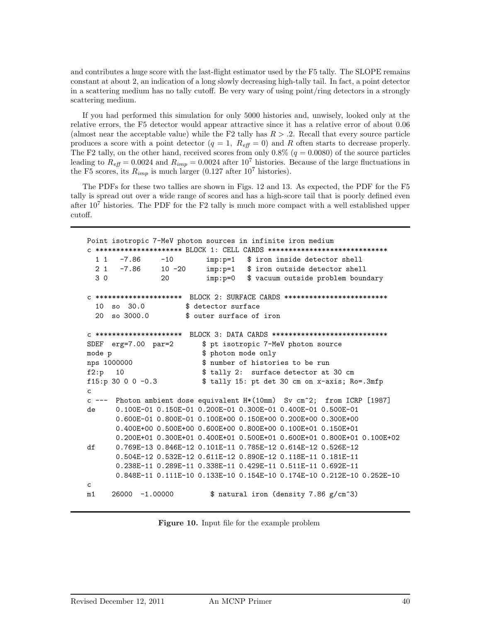and contributes a huge score with the last-flight estimator used by the F5 tally. The SLOPE remains constant at about 2, an indication of a long slowly decreasing high-tally tail. In fact, a point detector in a scattering medium has no tally cutoff. Be very wary of using point/ring detectors in a strongly scattering medium.

If you had performed this simulation for only 5000 histories and, unwisely, looked only at the relative errors, the F5 detector would appear attractive since it has a relative error of about 0.06 (almost near the acceptable value) while the F2 tally has  $R > 0.2$ . Recall that every source particle produces a score with a point detector  $(q = 1, R_{\text{eff}} = 0)$  and R often starts to decrease properly. The F2 tally, on the other hand, received scores from only  $0.8\%$  ( $q = 0.0080$ ) of the source particles leading to  $R_{\text{eff}} = 0.0024$  and  $R_{\text{imp}} = 0.0024$  after 10<sup>7</sup> histories. Because of the large fluctuations in the F5 scores, its  $R_{imp}$  is much larger (0.127 after 10<sup>7</sup> histories).

The PDFs for these two tallies are shown in Figs. 12 and 13. As expected, the PDF for the F5 tally is spread out over a wide range of scores and has a high-score tail that is poorly defined even after  $10<sup>7</sup>$  histories. The PDF for the F2 tally is much more compact with a well established upper cutoff.

```
Point isotropic 7-MeV photon sources in infinite iron medium
c ********************* BLOCK 1: CELL CARDS *****************************
 1 1 -7.86 -10 imp:p=1 $ iron inside detector shell
 2 1 -7.86 10 -20 imp:p=1 $ iron outside detector shell
 3 0 20 imp:p=0 $ vacuum outside problem boundary
c ********************* BLOCK 2: SURFACE CARDS *************************
 10 so 30.0 $ detector surface
 20 so 3000.0 $ outer surface of iron
c ********************* BLOCK 3: DATA CARDS ****************************
SDEF erg=7.00 par=2 $ pt isotropic 7-MeV photon source
mode p $ photon mode only
nps 1000000 $ number of histories to be run
f2:p 10 $ tally 2: surface detector at 30 cm
f15:p 30 0 0 -0.3 $ tally 15: pt det 30 cm on x-axis; Ro=.3mfp
c
c --- Photon ambient dose equivalent H*(10mm) Sv cm^2; from ICRP [1987]
de 0.100E-01 0.150E-01 0.200E-01 0.300E-01 0.400E-01 0.500E-01
      0.600E-01 0.800E-01 0.100E+00 0.150E+00 0.200E+00 0.300E+00
      0.400E+00 0.500E+00 0.600E+00 0.800E+00 0.100E+01 0.150E+01
      0.200E+01 0.300E+01 0.400E+01 0.500E+01 0.600E+01 0.800E+01 0.100E+02
df 0.769E-13 0.846E-12 0.101E-11 0.785E-12 0.614E-12 0.526E-12
      0.504E-12 0.532E-12 0.611E-12 0.890E-12 0.118E-11 0.181E-11
      0.238E-11 0.289E-11 0.338E-11 0.429E-11 0.511E-11 0.692E-11
      0.848E-11 0.111E-10 0.133E-10 0.154E-10 0.174E-10 0.212E-10 0.252E-10
c
m1 26000 -1.00000 $ natural iron (density 7.86 g/cm^3)
```
**Figure 10.** Input file for the example problem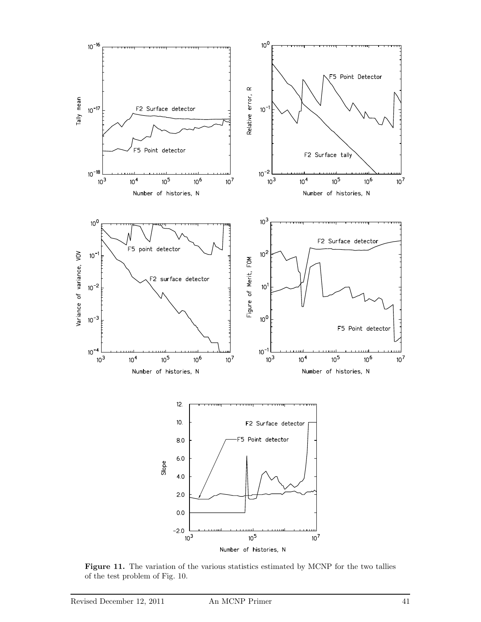

Figure 11. The variation of the various statistics estimated by MCNP for the two tallies of the test problem of Fig. 10.